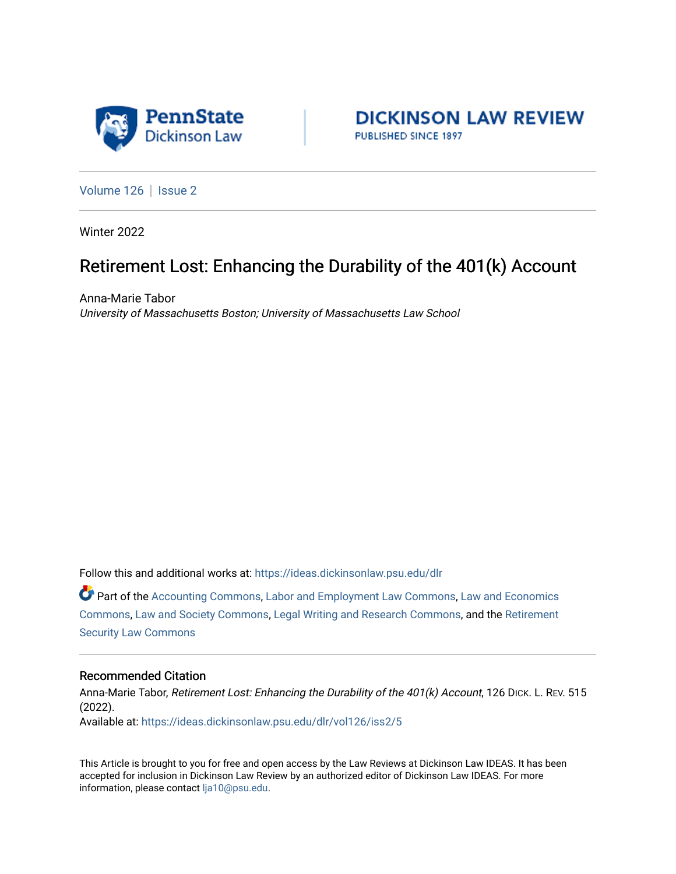



[Volume 126](https://ideas.dickinsonlaw.psu.edu/dlr/vol126) | [Issue 2](https://ideas.dickinsonlaw.psu.edu/dlr/vol126/iss2)

Winter 2022

# Retirement Lost: Enhancing the Durability of the 401(k) Account

Anna-Marie Tabor University of Massachusetts Boston; University of Massachusetts Law School

Follow this and additional works at: [https://ideas.dickinsonlaw.psu.edu/dlr](https://ideas.dickinsonlaw.psu.edu/dlr?utm_source=ideas.dickinsonlaw.psu.edu%2Fdlr%2Fvol126%2Fiss2%2F5&utm_medium=PDF&utm_campaign=PDFCoverPages) 

Part of the [Accounting Commons](http://network.bepress.com/hgg/discipline/625?utm_source=ideas.dickinsonlaw.psu.edu%2Fdlr%2Fvol126%2Fiss2%2F5&utm_medium=PDF&utm_campaign=PDFCoverPages), [Labor and Employment Law Commons,](http://network.bepress.com/hgg/discipline/909?utm_source=ideas.dickinsonlaw.psu.edu%2Fdlr%2Fvol126%2Fiss2%2F5&utm_medium=PDF&utm_campaign=PDFCoverPages) [Law and Economics](http://network.bepress.com/hgg/discipline/612?utm_source=ideas.dickinsonlaw.psu.edu%2Fdlr%2Fvol126%2Fiss2%2F5&utm_medium=PDF&utm_campaign=PDFCoverPages)  [Commons](http://network.bepress.com/hgg/discipline/612?utm_source=ideas.dickinsonlaw.psu.edu%2Fdlr%2Fvol126%2Fiss2%2F5&utm_medium=PDF&utm_campaign=PDFCoverPages), [Law and Society Commons,](http://network.bepress.com/hgg/discipline/853?utm_source=ideas.dickinsonlaw.psu.edu%2Fdlr%2Fvol126%2Fiss2%2F5&utm_medium=PDF&utm_campaign=PDFCoverPages) [Legal Writing and Research Commons,](http://network.bepress.com/hgg/discipline/614?utm_source=ideas.dickinsonlaw.psu.edu%2Fdlr%2Fvol126%2Fiss2%2F5&utm_medium=PDF&utm_campaign=PDFCoverPages) and the [Retirement](http://network.bepress.com/hgg/discipline/873?utm_source=ideas.dickinsonlaw.psu.edu%2Fdlr%2Fvol126%2Fiss2%2F5&utm_medium=PDF&utm_campaign=PDFCoverPages) [Security Law Commons](http://network.bepress.com/hgg/discipline/873?utm_source=ideas.dickinsonlaw.psu.edu%2Fdlr%2Fvol126%2Fiss2%2F5&utm_medium=PDF&utm_campaign=PDFCoverPages)

## Recommended Citation

Anna-Marie Tabor, Retirement Lost: Enhancing the Durability of the 401(k) Account, 126 Dick. L. REV. 515 (2022). Available at: [https://ideas.dickinsonlaw.psu.edu/dlr/vol126/iss2/5](https://ideas.dickinsonlaw.psu.edu/dlr/vol126/iss2/5?utm_source=ideas.dickinsonlaw.psu.edu%2Fdlr%2Fvol126%2Fiss2%2F5&utm_medium=PDF&utm_campaign=PDFCoverPages)

This Article is brought to you for free and open access by the Law Reviews at Dickinson Law IDEAS. It has been accepted for inclusion in Dickinson Law Review by an authorized editor of Dickinson Law IDEAS. For more information, please contact [lja10@psu.edu.](mailto:lja10@psu.edu)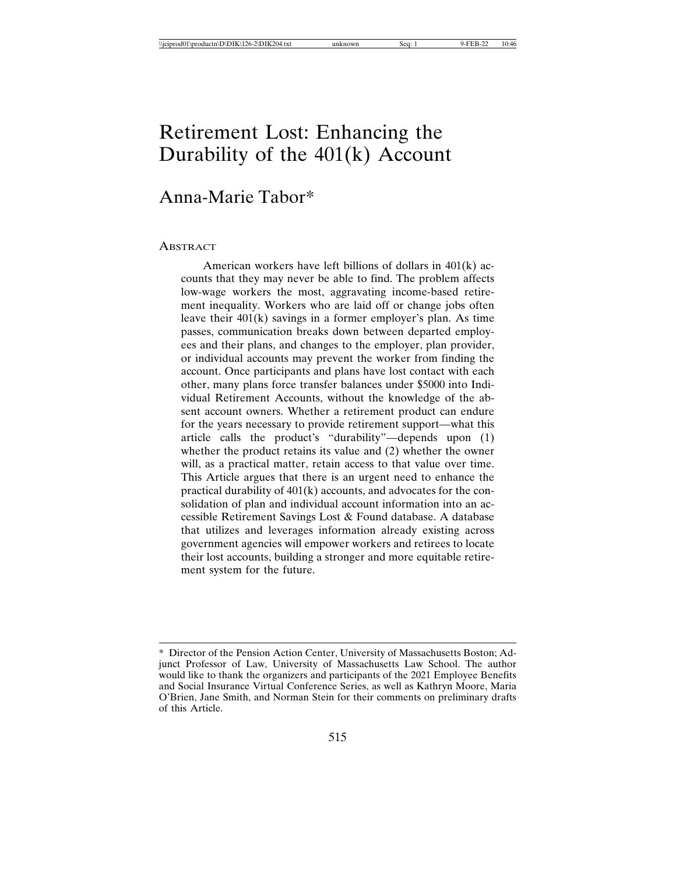# Retirement Lost: Enhancing the Durability of the  $401(k)$  Account

## Anna-Marie Tabor\*

#### ABSTRACT

American workers have left billions of dollars in 401(k) accounts that they may never be able to find. The problem affects low-wage workers the most, aggravating income-based retirement inequality. Workers who are laid off or change jobs often leave their 401(k) savings in a former employer's plan. As time passes, communication breaks down between departed employees and their plans, and changes to the employer, plan provider, or individual accounts may prevent the worker from finding the account. Once participants and plans have lost contact with each other, many plans force transfer balances under \$5000 into Individual Retirement Accounts, without the knowledge of the absent account owners. Whether a retirement product can endure for the years necessary to provide retirement support—what this article calls the product's "durability"—depends upon (1) whether the product retains its value and (2) whether the owner will, as a practical matter, retain access to that value over time. This Article argues that there is an urgent need to enhance the practical durability of 401(k) accounts, and advocates for the consolidation of plan and individual account information into an accessible Retirement Savings Lost & Found database. A database that utilizes and leverages information already existing across government agencies will empower workers and retirees to locate their lost accounts, building a stronger and more equitable retirement system for the future.

<sup>\*</sup> Director of the Pension Action Center, University of Massachusetts Boston; Adjunct Professor of Law, University of Massachusetts Law School. The author would like to thank the organizers and participants of the 2021 Employee Benefits and Social Insurance Virtual Conference Series, as well as Kathryn Moore, Maria O'Brien, Jane Smith, and Norman Stein for their comments on preliminary drafts of this Article.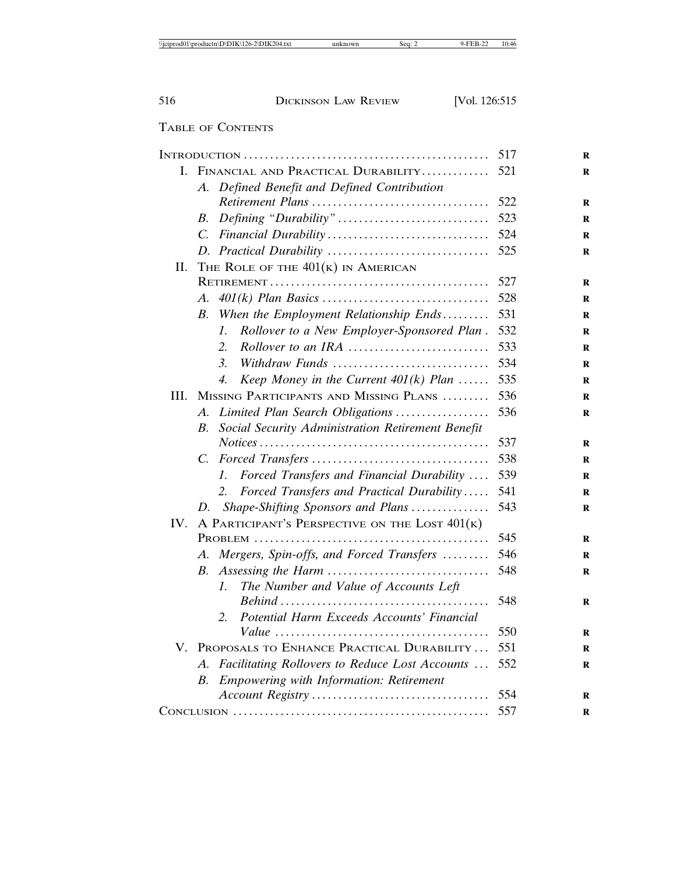## TABLE OF CONTENTS

|      |                                                                  | 517 |
|------|------------------------------------------------------------------|-----|
|      | I. FINANCIAL AND PRACTICAL DURABILITY                            | 521 |
|      | A. Defined Benefit and Defined Contribution                      |     |
|      |                                                                  | 522 |
|      | В.                                                               |     |
|      |                                                                  |     |
|      |                                                                  |     |
| H.   | THE ROLE OF THE $401(K)$ IN AMERICAN                             |     |
|      |                                                                  | 527 |
|      | А.                                                               | 528 |
|      | When the Employment Relationship Ends<br>B.                      | 531 |
|      | Rollover to a New Employer-Sponsored Plan.<br>1.                 | 532 |
|      | $\mathfrak{D}$<br>Rollover to an IRA                             | 533 |
|      | 3.<br>Withdraw Funds                                             | 534 |
|      | Keep Money in the Current $401(k)$ Plan<br>4.                    | 535 |
| III. | MISSING PARTICIPANTS AND MISSING PLANS                           | 536 |
|      | Limited Plan Search Obligations<br>A.                            | 536 |
|      | Social Security Administration Retirement Benefit<br>$B_{\cdot}$ |     |
|      |                                                                  | 537 |
|      | $C_{\cdot}$                                                      | 538 |
|      | 1.<br>Forced Transfers and Financial Durability                  | 539 |
|      | Forced Transfers and Practical Durability<br>2.                  | 541 |
|      | Shape-Shifting Sponsors and Plans<br>D.                          | 543 |
| IV.  | A PARTICIPANT'S PERSPECTIVE ON THE LOST 401(K)                   |     |
|      |                                                                  | 545 |
|      | Mergers, Spin-offs, and Forced Transfers<br>А.                   | 546 |
|      | В.                                                               | 548 |
|      | The Number and Value of Accounts Left<br>$\mathcal{I}$ .         |     |
|      |                                                                  | 548 |
|      | Potential Harm Exceeds Accounts' Financial<br>2.                 |     |
|      |                                                                  | 550 |
| V.   | PROPOSALS TO ENHANCE PRACTICAL DURABILITY                        | 551 |
|      | A. Facilitating Rollovers to Reduce Lost Accounts                | 552 |
|      | Empowering with Information: Retirement<br><i>B</i> .            |     |
|      |                                                                  |     |
|      |                                                                  | 557 |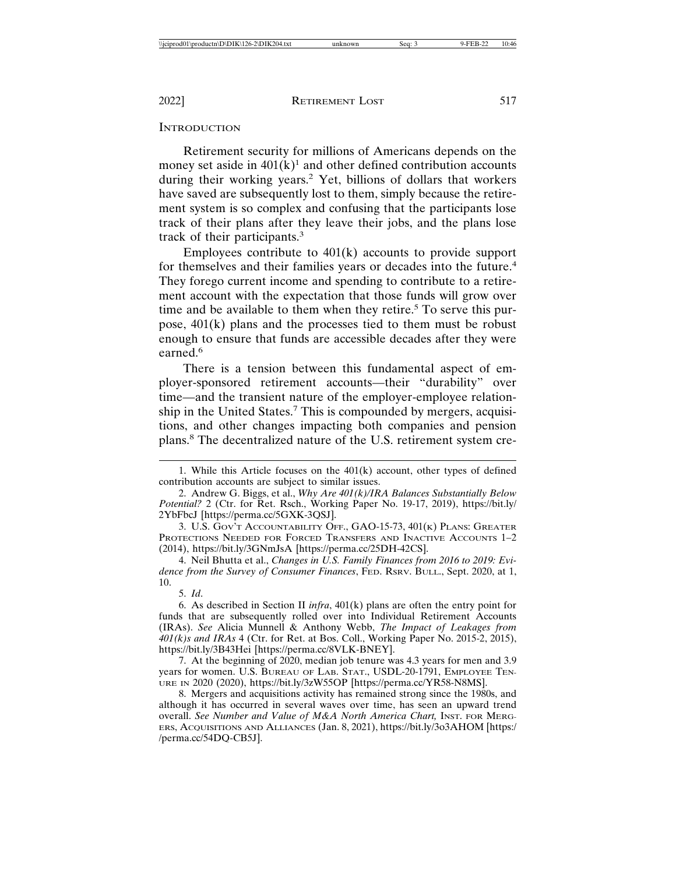**INTRODUCTION** 

Retirement security for millions of Americans depends on the money set aside in  $401(k)^1$  and other defined contribution accounts during their working years.<sup>2</sup> Yet, billions of dollars that workers have saved are subsequently lost to them, simply because the retirement system is so complex and confusing that the participants lose track of their plans after they leave their jobs, and the plans lose track of their participants.<sup>3</sup>

Employees contribute to 401(k) accounts to provide support for themselves and their families years or decades into the future.<sup>4</sup> They forego current income and spending to contribute to a retirement account with the expectation that those funds will grow over time and be available to them when they retire.<sup>5</sup> To serve this purpose, 401(k) plans and the processes tied to them must be robust enough to ensure that funds are accessible decades after they were earned.<sup>6</sup>

There is a tension between this fundamental aspect of employer-sponsored retirement accounts—their "durability" over time—and the transient nature of the employer-employee relationship in the United States.<sup>7</sup> This is compounded by mergers, acquisitions, and other changes impacting both companies and pension plans.8 The decentralized nature of the U.S. retirement system cre-

3. U.S. GOV'T ACCOUNTABILITY OFF., GAO-15-73, 401(K) PLANS: GREATER PROTECTIONS NEEDED FOR FORCED TRANSFERS AND INACTIVE ACCOUNTS 1–2 (2014), https://bit.ly/3GNmJsA [https://perma.cc/25DH-42CS].

4. Neil Bhutta et al., *Changes in U.S. Family Finances from 2016 to 2019: Evidence from the Survey of Consumer Finances*, FED. RSRV. BULL., Sept. 2020, at 1, 10.

5. *Id*.

6. As described in Section II *infra*, 401(k) plans are often the entry point for funds that are subsequently rolled over into Individual Retirement Accounts (IRAs). *See* Alicia Munnell & Anthony Webb, *The Impact of Leakages from 401(k)s and IRAs* 4 (Ctr. for Ret. at Bos. Coll., Working Paper No. 2015-2, 2015), https://bit.ly/3B43Hei [https://perma.cc/8VLK-BNEY].

7. At the beginning of 2020, median job tenure was 4.3 years for men and 3.9 years for women. U.S. BUREAU OF LAB. STAT., USDL-20-1791, EMPLOYEE TEN-URE IN 2020 (2020), https://bit.ly/3zW55OP [https://perma.cc/YR58-N8MS].

8. Mergers and acquisitions activity has remained strong since the 1980s, and although it has occurred in several waves over time, has seen an upward trend overall. *See Number and Value of M&A North America Chart,* INST. FOR MERG-ERS, ACQUISITIONS AND ALLIANCES (Jan. 8, 2021), https://bit.ly/3o3AHOM [https:/ /perma.cc/54DQ-CB5J].

<sup>1.</sup> While this Article focuses on the 401(k) account, other types of defined contribution accounts are subject to similar issues.

<sup>2.</sup> Andrew G. Biggs, et al., *Why Are 401(k)/IRA Balances Substantially Below Potential?* 2 (Ctr. for Ret. Rsch., Working Paper No. 19-17, 2019), https://bit.ly/ 2YbFbcJ [https://perma.cc/5GXK-3QSJ].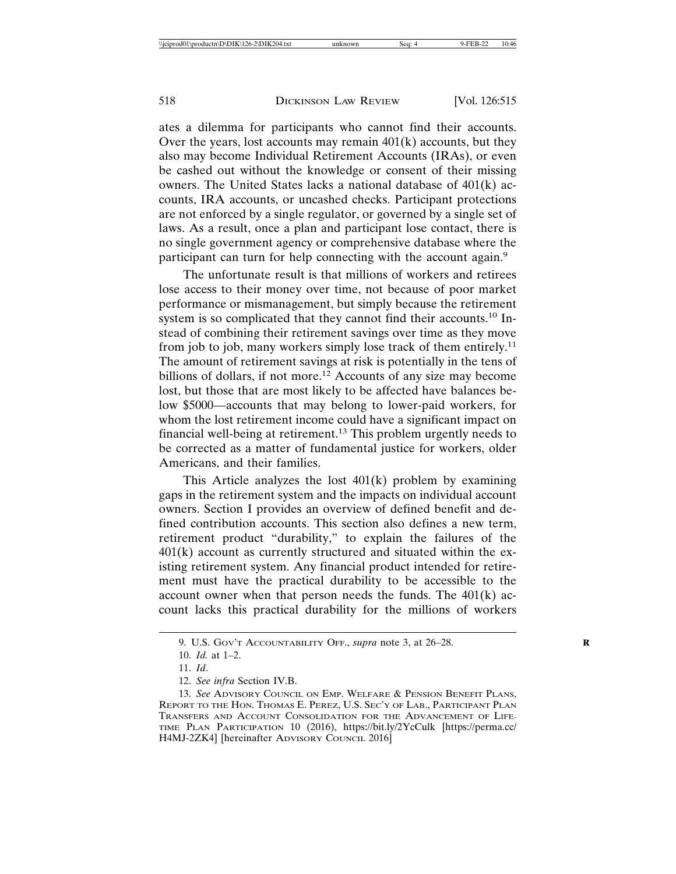ates a dilemma for participants who cannot find their accounts. Over the years, lost accounts may remain 401(k) accounts, but they also may become Individual Retirement Accounts (IRAs), or even be cashed out without the knowledge or consent of their missing owners. The United States lacks a national database of 401(k) accounts, IRA accounts, or uncashed checks. Participant protections are not enforced by a single regulator, or governed by a single set of laws. As a result, once a plan and participant lose contact, there is no single government agency or comprehensive database where the participant can turn for help connecting with the account again.<sup>9</sup>

The unfortunate result is that millions of workers and retirees lose access to their money over time, not because of poor market performance or mismanagement, but simply because the retirement system is so complicated that they cannot find their accounts.<sup>10</sup> Instead of combining their retirement savings over time as they move from job to job, many workers simply lose track of them entirely.<sup>11</sup> The amount of retirement savings at risk is potentially in the tens of billions of dollars, if not more.<sup>12</sup> Accounts of any size may become lost, but those that are most likely to be affected have balances below \$5000—accounts that may belong to lower-paid workers, for whom the lost retirement income could have a significant impact on financial well-being at retirement.13 This problem urgently needs to be corrected as a matter of fundamental justice for workers, older Americans, and their families.

This Article analyzes the lost  $401(k)$  problem by examining gaps in the retirement system and the impacts on individual account owners. Section I provides an overview of defined benefit and defined contribution accounts. This section also defines a new term, retirement product "durability," to explain the failures of the  $401(k)$  account as currently structured and situated within the existing retirement system. Any financial product intended for retirement must have the practical durability to be accessible to the account owner when that person needs the funds. The 401(k) account lacks this practical durability for the millions of workers

<sup>9.</sup> U.S. GOV'T ACCOUNTABILITY OFF., *supra* note 3, at 26–28. **R**

<sup>10.</sup> *Id.* at 1–2.

<sup>11.</sup> *Id*.

<sup>12.</sup> *See infra* Section IV.B.

<sup>13.</sup> *See* ADVISORY COUNCIL ON EMP. WELFARE & PENSION BENEFIT PLANS, REPORT TO THE HON. THOMAS E. PEREZ, U.S. SEC'Y OF LAB., PARTICIPANT PLAN TRANSFERS AND ACCOUNT CONSOLIDATION FOR THE ADVANCEMENT OF LIFE-TIME PLAN PARTICIPATION 10 (2016), https://bit.ly/2YcCulk [https://perma.cc/ H4MJ-2ZK4] [hereinafter ADVISORY COUNCIL 2016]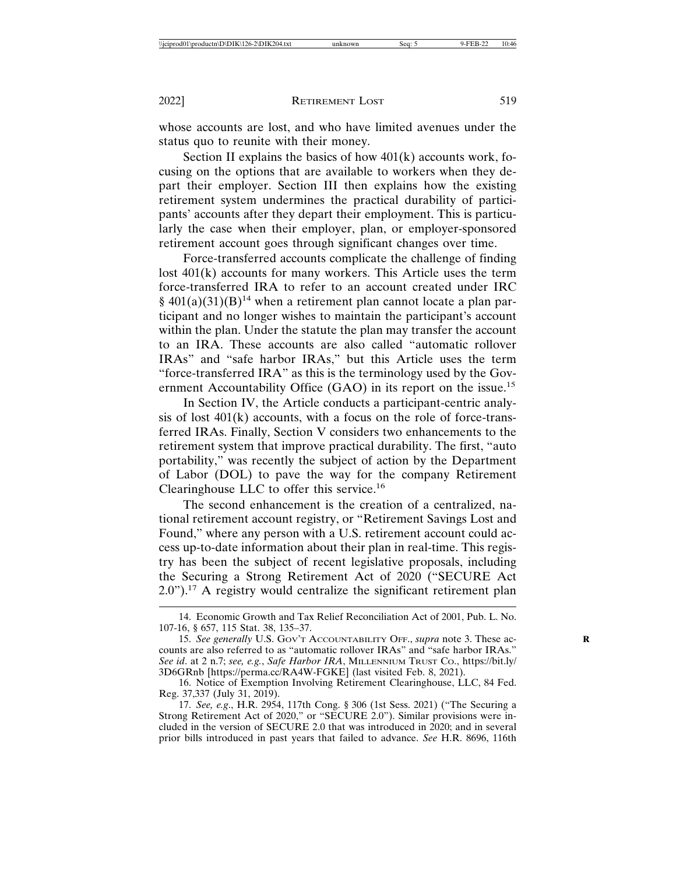whose accounts are lost, and who have limited avenues under the status quo to reunite with their money.

Section II explains the basics of how  $401(k)$  accounts work, focusing on the options that are available to workers when they depart their employer. Section III then explains how the existing retirement system undermines the practical durability of participants' accounts after they depart their employment. This is particularly the case when their employer, plan, or employer-sponsored retirement account goes through significant changes over time.

Force-transferred accounts complicate the challenge of finding lost 401(k) accounts for many workers. This Article uses the term force-transferred IRA to refer to an account created under IRC  $\S$  401(a)(31)(B)<sup>14</sup> when a retirement plan cannot locate a plan participant and no longer wishes to maintain the participant's account within the plan. Under the statute the plan may transfer the account to an IRA. These accounts are also called "automatic rollover IRAs" and "safe harbor IRAs," but this Article uses the term "force-transferred IRA" as this is the terminology used by the Government Accountability Office (GAO) in its report on the issue.<sup>15</sup>

In Section IV, the Article conducts a participant-centric analysis of lost 401(k) accounts, with a focus on the role of force-transferred IRAs. Finally, Section V considers two enhancements to the retirement system that improve practical durability. The first, "auto portability," was recently the subject of action by the Department of Labor (DOL) to pave the way for the company Retirement Clearinghouse LLC to offer this service.<sup>16</sup>

The second enhancement is the creation of a centralized, national retirement account registry, or "Retirement Savings Lost and Found," where any person with a U.S. retirement account could access up-to-date information about their plan in real-time. This registry has been the subject of recent legislative proposals, including the Securing a Strong Retirement Act of 2020 ("SECURE Act 2.0").17 A registry would centralize the significant retirement plan

<sup>14.</sup> Economic Growth and Tax Relief Reconciliation Act of 2001, Pub. L. No. 107-16, § 657, 115 Stat. 38, 135–37.

<sup>15.</sup> *See generally* U.S. GOV'T ACCOUNTABILITY OFF., *supra* note 3. These ac- **R** counts are also referred to as "automatic rollover IRAs" and "safe harbor IRAs." *See id*. at 2 n.7; *see, e.g.*, *Safe Harbor IRA*, MILLENNIUM TRUST CO., https://bit.ly/ 3D6GRnb [https://perma.cc/RA4W-FGKE] (last visited Feb. 8, 2021).

<sup>16.</sup> Notice of Exemption Involving Retirement Clearinghouse, LLC, 84 Fed. Reg. 37,337 (July 31, 2019).

<sup>17.</sup> *See, e.g*., H.R. 2954, 117th Cong. § 306 (1st Sess. 2021) ("The Securing a Strong Retirement Act of 2020," or "SECURE 2.0"). Similar provisions were included in the version of SECURE 2.0 that was introduced in 2020; and in several prior bills introduced in past years that failed to advance. *See* H.R. 8696, 116th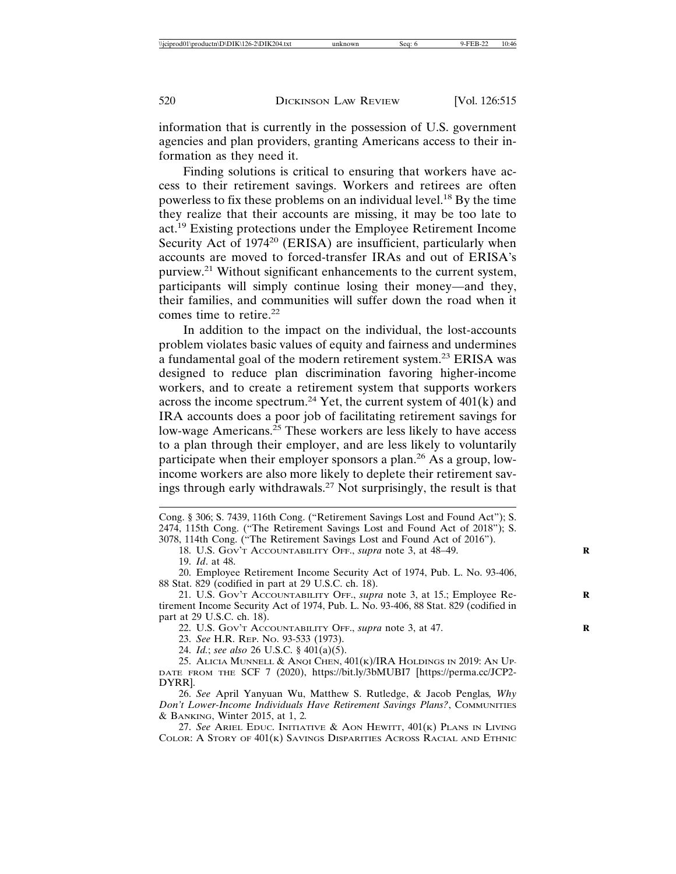information that is currently in the possession of U.S. government agencies and plan providers, granting Americans access to their information as they need it.

Finding solutions is critical to ensuring that workers have access to their retirement savings. Workers and retirees are often powerless to fix these problems on an individual level.18 By the time they realize that their accounts are missing, it may be too late to act.19 Existing protections under the Employee Retirement Income Security Act of 1974<sup>20</sup> (ERISA) are insufficient, particularly when accounts are moved to forced-transfer IRAs and out of ERISA's purview.21 Without significant enhancements to the current system, participants will simply continue losing their money—and they, their families, and communities will suffer down the road when it comes time to retire.<sup>22</sup>

In addition to the impact on the individual, the lost-accounts problem violates basic values of equity and fairness and undermines a fundamental goal of the modern retirement system.<sup>23</sup> ERISA was designed to reduce plan discrimination favoring higher-income workers, and to create a retirement system that supports workers across the income spectrum.24 Yet, the current system of 401(k) and IRA accounts does a poor job of facilitating retirement savings for low-wage Americans. $25$  These workers are less likely to have access to a plan through their employer, and are less likely to voluntarily participate when their employer sponsors a plan.<sup>26</sup> As a group, lowincome workers are also more likely to deplete their retirement savings through early withdrawals.27 Not surprisingly, the result is that

18. U.S. GOV'T ACCOUNTABILITY OFF., *supra* note 3, at 48–49. **R**

19. *Id*. at 48.

20. Employee Retirement Income Security Act of 1974, Pub. L. No. 93-406, 88 Stat. 829 (codified in part at 29 U.S.C. ch. 18).

21. U.S. GOV'T ACCOUNTABILITY OFF., *supra* note 3, at 15.; Employee Re- **R** tirement Income Security Act of 1974, Pub. L. No. 93-406, 88 Stat. 829 (codified in part at 29 U.S.C. ch. 18).

22. U.S. GOV'T ACCOUNTABILITY OFF., *supra* note 3, at 47. **R**

23. *See* H.R. REP. NO. 93-533 (1973).

24. *Id.*; *see also* 26 U.S.C. § 401(a)(5).

25. ALICIA MUNNELL & ANQI CHEN, 401(K)/IRA HOLDINGS IN 2019: AN UP-DATE FROM THE SCF 7 (2020), https://bit.ly/3bMUBI7 [https://perma.cc/JCP2- DYRR].

26. *See* April Yanyuan Wu, Matthew S. Rutledge, & Jacob Penglas*, Why Don't Lower-Income Individuals Have Retirement Savings Plans?***, COMMUNITIES** & BANKING, Winter 2015, at 1, 2*.*

27. *See* ARIEL EDUC. INITIATIVE & AON HEWITT, 401(K) PLANS IN LIVING COLOR: A STORY OF 401(K) SAVINGS DISPARITIES ACROSS RACIAL AND ETHNIC

Cong. § 306; S. 7439, 116th Cong. ("Retirement Savings Lost and Found Act"); S. 2474, 115th Cong. ("The Retirement Savings Lost and Found Act of 2018"); S. 3078, 114th Cong. ("The Retirement Savings Lost and Found Act of 2016").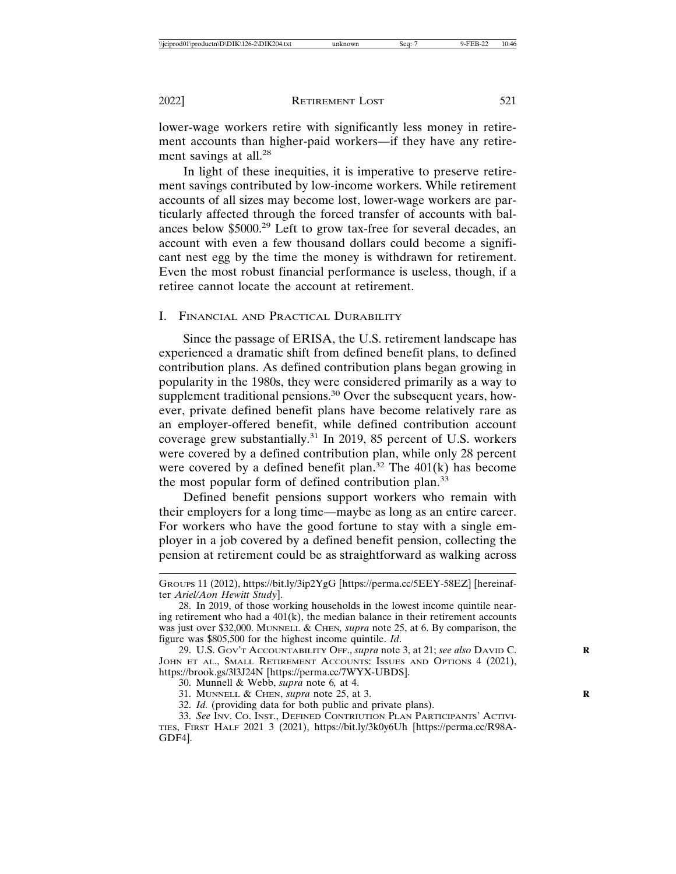lower-wage workers retire with significantly less money in retirement accounts than higher-paid workers—if they have any retirement savings at all.<sup>28</sup>

In light of these inequities, it is imperative to preserve retirement savings contributed by low-income workers. While retirement accounts of all sizes may become lost, lower-wage workers are particularly affected through the forced transfer of accounts with balances below \$5000.29 Left to grow tax-free for several decades, an account with even a few thousand dollars could become a significant nest egg by the time the money is withdrawn for retirement. Even the most robust financial performance is useless, though, if a retiree cannot locate the account at retirement.

#### I. FINANCIAL AND PRACTICAL DURABILITY

Since the passage of ERISA, the U.S. retirement landscape has experienced a dramatic shift from defined benefit plans, to defined contribution plans. As defined contribution plans began growing in popularity in the 1980s, they were considered primarily as a way to supplement traditional pensions.<sup>30</sup> Over the subsequent years, however, private defined benefit plans have become relatively rare as an employer-offered benefit, while defined contribution account coverage grew substantially.31 In 2019, 85 percent of U.S. workers were covered by a defined contribution plan, while only 28 percent were covered by a defined benefit plan.<sup>32</sup> The  $401(k)$  has become the most popular form of defined contribution plan.<sup>33</sup>

Defined benefit pensions support workers who remain with their employers for a long time—maybe as long as an entire career. For workers who have the good fortune to stay with a single employer in a job covered by a defined benefit pension, collecting the pension at retirement could be as straightforward as walking across

- 31. MUNNELL & CHEN, *supra* note 25, at 3. **R**
- 32. *Id.* (providing data for both public and private plans).

GROUPS 11 (2012), https://bit.ly/3ip2YgG [https://perma.cc/5EEY-58EZ] [hereinafter *Ariel/Aon Hewitt Study*].

<sup>28.</sup> In 2019, of those working households in the lowest income quintile nearing retirement who had a  $401(k)$ , the median balance in their retirement accounts was just over \$32,000. MUNNELL & CHEN*, supra* note 25, at 6. By comparison, the figure was \$805,500 for the highest income quintile. *Id*.

<sup>29.</sup> U.S. GOV'T ACCOUNTABILITY OFF., *supra* note 3, at 21; *see also* DAVID C. **R** JOHN ET AL., SMALL RETIREMENT ACCOUNTS: ISSUES AND OPTIONS 4 (2021), https://brook.gs/3l3J24N [https://perma.cc/7WYX-UBDS].

<sup>30.</sup> Munnell & Webb, *supra* note 6*,* at 4.

<sup>33.</sup> *See* INV. CO. INST., DEFINED CONTRIUTION PLAN PARTICIPANTS' ACTIVI-TIES, FIRST HALF 2021 3 (2021), https://bit.ly/3k0y6Uh [https://perma.cc/R98A-GDF4].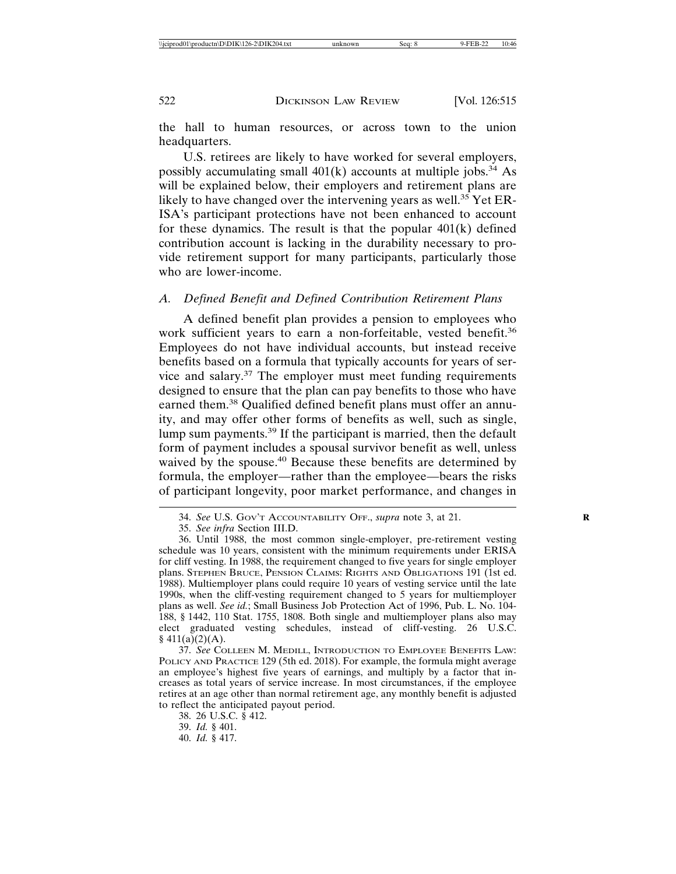the hall to human resources, or across town to the union headquarters.

U.S. retirees are likely to have worked for several employers, possibly accumulating small  $401(k)$  accounts at multiple jobs.<sup>34</sup> As will be explained below, their employers and retirement plans are likely to have changed over the intervening years as well.<sup>35</sup> Yet ER-ISA's participant protections have not been enhanced to account for these dynamics. The result is that the popular  $401(k)$  defined contribution account is lacking in the durability necessary to provide retirement support for many participants, particularly those who are lower-income.

#### *A. Defined Benefit and Defined Contribution Retirement Plans*

A defined benefit plan provides a pension to employees who work sufficient years to earn a non-forfeitable, vested benefit.<sup>36</sup> Employees do not have individual accounts, but instead receive benefits based on a formula that typically accounts for years of service and salary.37 The employer must meet funding requirements designed to ensure that the plan can pay benefits to those who have earned them.38 Qualified defined benefit plans must offer an annuity, and may offer other forms of benefits as well, such as single, lump sum payments.<sup>39</sup> If the participant is married, then the default form of payment includes a spousal survivor benefit as well, unless waived by the spouse.<sup>40</sup> Because these benefits are determined by formula, the employer—rather than the employee—bears the risks of participant longevity, poor market performance, and changes in

35. *See infra* Section III.D.

38. 26 U.S.C. § 412.

39. *Id.* § 401.

40. *Id.* § 417.

<sup>34.</sup> *See* U.S. GOV'T ACCOUNTABILITY OFF., *supra* note 3, at 21. **R**

<sup>36.</sup> Until 1988, the most common single-employer, pre-retirement vesting schedule was 10 years, consistent with the minimum requirements under ERISA for cliff vesting. In 1988, the requirement changed to five years for single employer plans. STEPHEN BRUCE, PENSION CLAIMS: RIGHTS AND OBLIGATIONS 191 (1st ed. 1988). Multiemployer plans could require 10 years of vesting service until the late 1990s, when the cliff-vesting requirement changed to 5 years for multiemployer plans as well. *See id.*; Small Business Job Protection Act of 1996, Pub. L. No. 104- 188, § 1442, 110 Stat. 1755, 1808. Both single and multiemployer plans also may elect graduated vesting schedules, instead of cliff-vesting. 26 U.S.C.  $§ 411(a)(2)(A).$ 

<sup>37.</sup> *See* COLLEEN M. MEDILL, INTRODUCTION TO EMPLOYEE BENEFITS LAW: POLICY AND PRACTICE 129 (5th ed. 2018). For example, the formula might average an employee's highest five years of earnings, and multiply by a factor that increases as total years of service increase. In most circumstances, if the employee retires at an age other than normal retirement age, any monthly benefit is adjusted to reflect the anticipated payout period.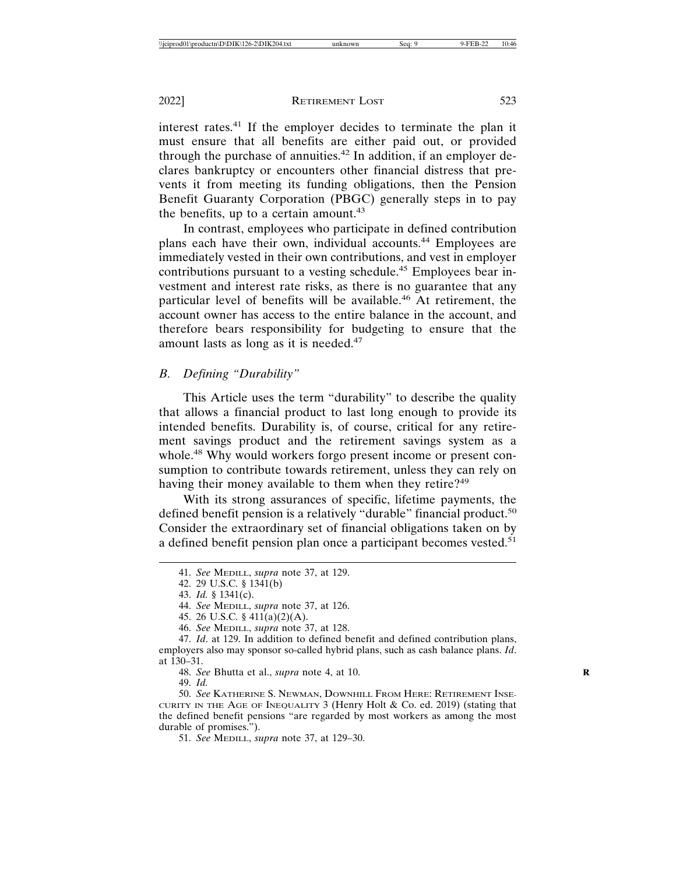interest rates.41 If the employer decides to terminate the plan it must ensure that all benefits are either paid out, or provided through the purchase of annuities.<sup>42</sup> In addition, if an employer declares bankruptcy or encounters other financial distress that prevents it from meeting its funding obligations, then the Pension Benefit Guaranty Corporation (PBGC) generally steps in to pay the benefits, up to a certain amount.<sup>43</sup>

In contrast, employees who participate in defined contribution plans each have their own, individual accounts.44 Employees are immediately vested in their own contributions, and vest in employer contributions pursuant to a vesting schedule.<sup>45</sup> Employees bear investment and interest rate risks, as there is no guarantee that any particular level of benefits will be available.46 At retirement, the account owner has access to the entire balance in the account, and therefore bears responsibility for budgeting to ensure that the amount lasts as long as it is needed.<sup>47</sup>

## *B. Defining "Durability"*

This Article uses the term "durability" to describe the quality that allows a financial product to last long enough to provide its intended benefits. Durability is, of course, critical for any retirement savings product and the retirement savings system as a whole.<sup>48</sup> Why would workers forgo present income or present consumption to contribute towards retirement, unless they can rely on having their money available to them when they retire?<sup>49</sup>

With its strong assurances of specific, lifetime payments, the defined benefit pension is a relatively "durable" financial product.<sup>50</sup> Consider the extraordinary set of financial obligations taken on by a defined benefit pension plan once a participant becomes vested. $51$ 

48. *See* Bhutta et al., *supra* note 4, at 10. **R**

<sup>41.</sup> *See* MEDILL, *supra* note 37, at 129.

<sup>42. 29</sup> U.S.C. § 1341(b)

<sup>43.</sup> *Id.* § 1341(c).

<sup>44.</sup> *See* MEDILL, *supra* note 37, at 126.

<sup>45. 26</sup> U.S.C. § 411(a)(2)(A).

<sup>46.</sup> *See* MEDILL, *supra* note 37, at 128.

<sup>47.</sup> *Id*. at 129. In addition to defined benefit and defined contribution plans, employers also may sponsor so-called hybrid plans, such as cash balance plans. *Id*. at 130–31.

<sup>49.</sup> *Id.*

<sup>50.</sup> *See* KATHERINE S. NEWMAN, DOWNHILL FROM HERE: RETIREMENT INSE-CURITY IN THE AGE OF INEQUALITY 3 (Henry Holt & Co. ed. 2019) (stating that the defined benefit pensions "are regarded by most workers as among the most durable of promises.").

<sup>51.</sup> *See* MEDILL, *supra* note 37, at 129–30.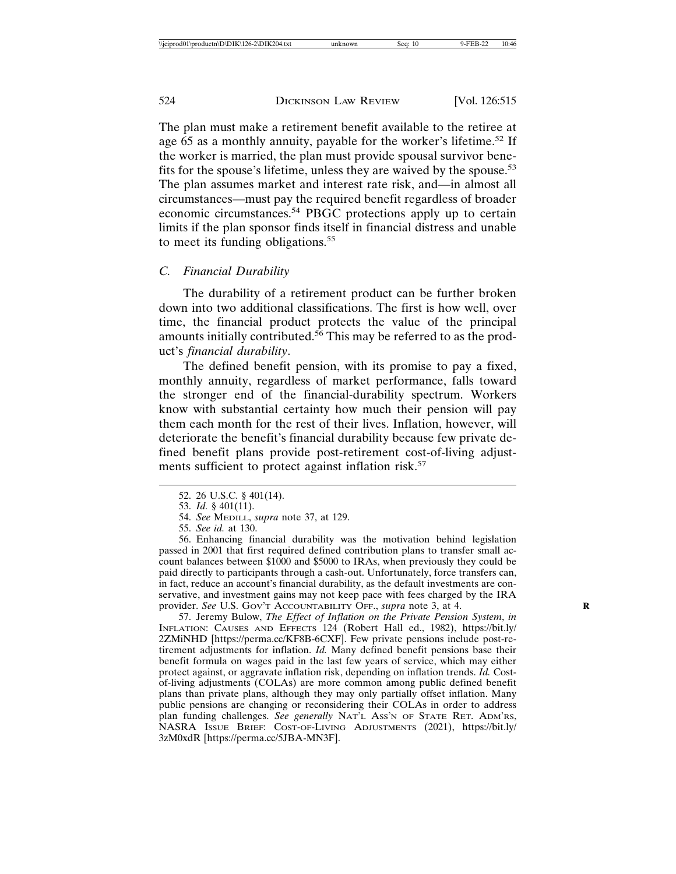The plan must make a retirement benefit available to the retiree at age 65 as a monthly annuity, payable for the worker's lifetime.<sup>52</sup> If the worker is married, the plan must provide spousal survivor benefits for the spouse's lifetime, unless they are waived by the spouse.<sup>53</sup> The plan assumes market and interest rate risk, and—in almost all circumstances—must pay the required benefit regardless of broader economic circumstances.54 PBGC protections apply up to certain limits if the plan sponsor finds itself in financial distress and unable to meet its funding obligations.<sup>55</sup>

### *C. Financial Durability*

The durability of a retirement product can be further broken down into two additional classifications. The first is how well, over time, the financial product protects the value of the principal amounts initially contributed.56 This may be referred to as the product's *financial durability*.

The defined benefit pension, with its promise to pay a fixed, monthly annuity, regardless of market performance, falls toward the stronger end of the financial-durability spectrum. Workers know with substantial certainty how much their pension will pay them each month for the rest of their lives. Inflation, however, will deteriorate the benefit's financial durability because few private defined benefit plans provide post-retirement cost-of-living adjustments sufficient to protect against inflation risk.<sup>57</sup>

56. Enhancing financial durability was the motivation behind legislation passed in 2001 that first required defined contribution plans to transfer small account balances between \$1000 and \$5000 to IRAs, when previously they could be paid directly to participants through a cash-out. Unfortunately, force transfers can, in fact, reduce an account's financial durability, as the default investments are conservative, and investment gains may not keep pace with fees charged by the IRA provider. *See* U.S. GOV'T ACCOUNTABILITY OFF., *supra* note 3, at 4. **R**

57. Jeremy Bulow, *The Effect of Inflation on the Private Pension System*, *in* INFLATION: CAUSES AND EFFECTS 124 (Robert Hall ed., 1982), https://bit.ly/ 2ZMiNHD [https://perma.cc/KF8B-6CXF]. Few private pensions include post-retirement adjustments for inflation. *Id.* Many defined benefit pensions base their benefit formula on wages paid in the last few years of service, which may either protect against, or aggravate inflation risk, depending on inflation trends. *Id.* Costof-living adjustments (COLAs) are more common among public defined benefit plans than private plans, although they may only partially offset inflation. Many public pensions are changing or reconsidering their COLAs in order to address plan funding challenges. *See generally* NAT'L ASS'N OF STATE RET. ADM'RS, NASRA ISSUE BRIEF: COST-OF-LIVING ADJUSTMENTS (2021), https://bit.ly/ 3zM0xdR [https://perma.cc/5JBA-MN3F].

<sup>52. 26</sup> U.S.C. § 401(14).

<sup>53.</sup> *Id.* § 401(11).

<sup>54.</sup> *See* MEDILL, *supra* note 37, at 129.

<sup>55.</sup> *See id.* at 130.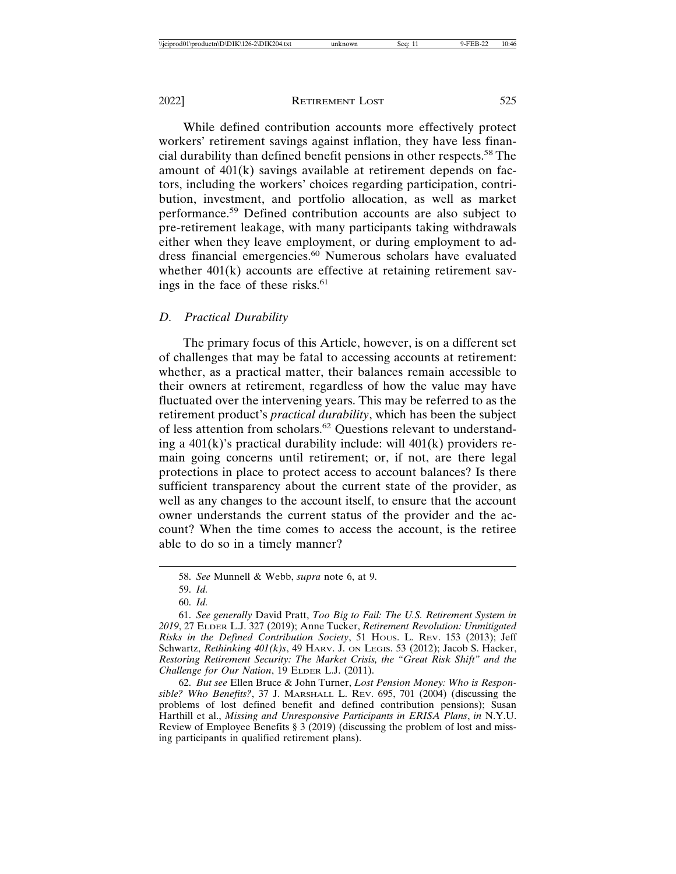While defined contribution accounts more effectively protect workers' retirement savings against inflation, they have less financial durability than defined benefit pensions in other respects.58 The amount of 401(k) savings available at retirement depends on factors, including the workers' choices regarding participation, contribution, investment, and portfolio allocation, as well as market performance.59 Defined contribution accounts are also subject to pre-retirement leakage, with many participants taking withdrawals either when they leave employment, or during employment to address financial emergencies.60 Numerous scholars have evaluated whether 401(k) accounts are effective at retaining retirement savings in the face of these risks.<sup>61</sup>

#### *D. Practical Durability*

The primary focus of this Article, however, is on a different set of challenges that may be fatal to accessing accounts at retirement: whether, as a practical matter, their balances remain accessible to their owners at retirement, regardless of how the value may have fluctuated over the intervening years. This may be referred to as the retirement product's *practical durability*, which has been the subject of less attention from scholars.<sup>62</sup> Questions relevant to understanding a  $401(k)$ 's practical durability include: will  $401(k)$  providers remain going concerns until retirement; or, if not, are there legal protections in place to protect access to account balances? Is there sufficient transparency about the current state of the provider, as well as any changes to the account itself, to ensure that the account owner understands the current status of the provider and the account? When the time comes to access the account, is the retiree able to do so in a timely manner?

<sup>58.</sup> *See* Munnell & Webb, *supra* note 6, at 9.

<sup>59.</sup> *Id.*

<sup>60.</sup> *Id.*

<sup>61.</sup> *See generally* David Pratt, *Too Big to Fail: The U.S. Retirement System in 2019*, 27 ELDER L.J. 327 (2019); Anne Tucker, *Retirement Revolution: Unmitigated Risks in the Defined Contribution Society*, 51 HOUS. L. REV. 153 (2013); Jeff Schwartz, *Rethinking 401(k)s*, 49 HARV. J. ON LEGIS. 53 (2012); Jacob S. Hacker, *Restoring Retirement Security: The Market Crisis, the "Great Risk Shift" and the Challenge for Our Nation*, 19 ELDER L.J. (2011).

<sup>62.</sup> *But see* Ellen Bruce & John Turner, *Lost Pension Money: Who is Responsible? Who Benefits?*, 37 J. MARSHALL L. REV. 695, 701 (2004) (discussing the problems of lost defined benefit and defined contribution pensions); Susan Harthill et al., *Missing and Unresponsive Participants in ERISA Plans*, *in* N.Y.U. Review of Employee Benefits § 3 (2019) (discussing the problem of lost and missing participants in qualified retirement plans).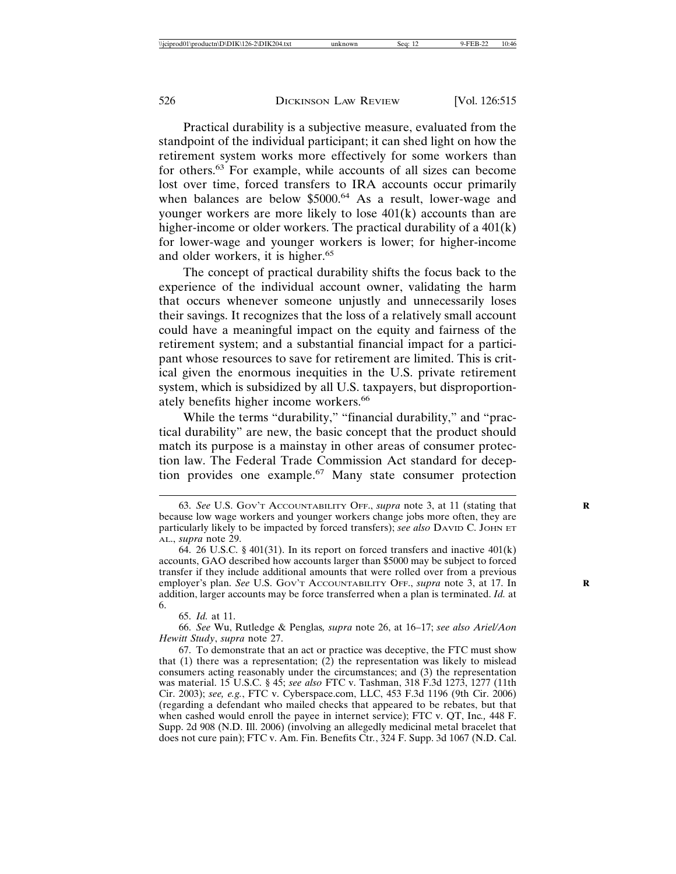Practical durability is a subjective measure, evaluated from the standpoint of the individual participant; it can shed light on how the retirement system works more effectively for some workers than for others.63 For example, while accounts of all sizes can become lost over time, forced transfers to IRA accounts occur primarily when balances are below \$5000.<sup>64</sup> As a result, lower-wage and younger workers are more likely to lose  $401(k)$  accounts than are higher-income or older workers. The practical durability of a 401(k) for lower-wage and younger workers is lower; for higher-income and older workers, it is higher.<sup>65</sup>

The concept of practical durability shifts the focus back to the experience of the individual account owner, validating the harm that occurs whenever someone unjustly and unnecessarily loses their savings. It recognizes that the loss of a relatively small account could have a meaningful impact on the equity and fairness of the retirement system; and a substantial financial impact for a participant whose resources to save for retirement are limited. This is critical given the enormous inequities in the U.S. private retirement system, which is subsidized by all U.S. taxpayers, but disproportionately benefits higher income workers.<sup>66</sup>

While the terms "durability," "financial durability," and "practical durability" are new, the basic concept that the product should match its purpose is a mainstay in other areas of consumer protection law. The Federal Trade Commission Act standard for deception provides one example.<sup>67</sup> Many state consumer protection

65. *Id.* at 11.

66. *See* Wu, Rutledge & Penglas*, supra* note 26, at 16–17; *see also Ariel/Aon Hewitt Study*, *supra* note 27.

<sup>63.</sup> *See* U.S. GOV'T ACCOUNTABILITY OFF., *supra* note 3, at 11 (stating that **R** because low wage workers and younger workers change jobs more often, they are particularly likely to be impacted by forced transfers); *see also* DAVID C. JOHN ET AL., *supra* note 29.

<sup>64. 26</sup> U.S.C. § 401(31). In its report on forced transfers and inactive  $401(k)$ accounts, GAO described how accounts larger than \$5000 may be subject to forced transfer if they include additional amounts that were rolled over from a previous employer's plan. *See U.S. Gov't Accountability Off.*, *supra* note 3, at 17. In addition, larger accounts may be force transferred when a plan is terminated. *Id.* at 6.

<sup>67.</sup> To demonstrate that an act or practice was deceptive, the FTC must show that  $(1)$  there was a representation;  $(2)$  the representation was likely to mislead consumers acting reasonably under the circumstances; and (3) the representation was material. 15 U.S.C. § 45; *see also* FTC v. Tashman, 318 F.3d 1273, 1277 (11th Cir. 2003); *see, e.g.*, FTC v. Cyberspace.com, LLC, 453 F.3d 1196 (9th Cir. 2006) (regarding a defendant who mailed checks that appeared to be rebates, but that when cashed would enroll the payee in internet service); FTC v. QT, Inc*.,* 448 F. Supp. 2d 908 (N.D. Ill. 2006) (involving an allegedly medicinal metal bracelet that does not cure pain); FTC v. Am. Fin. Benefits Ctr*.*, 324 F. Supp. 3d 1067 (N.D. Cal.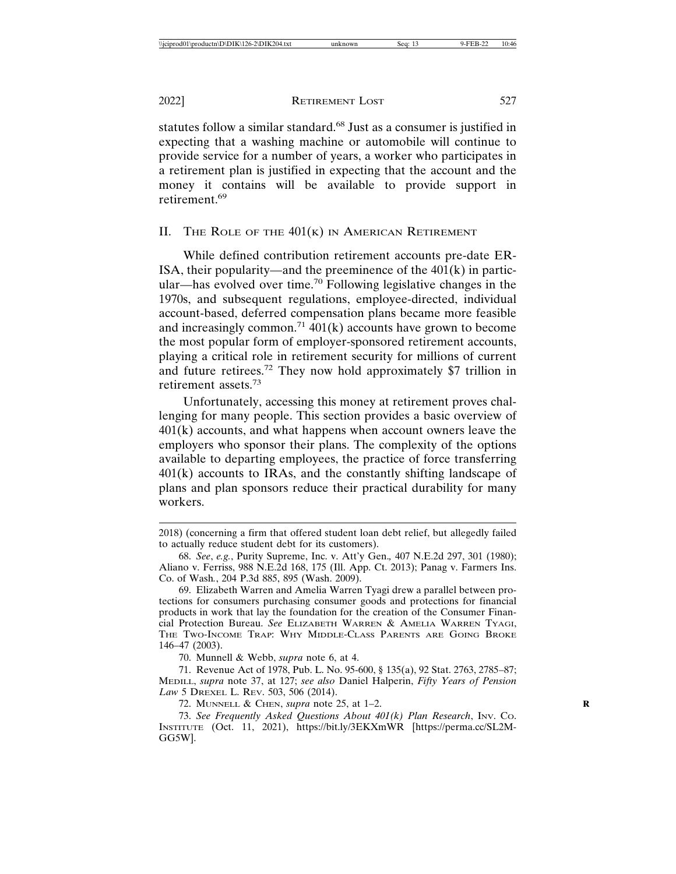statutes follow a similar standard.68 Just as a consumer is justified in expecting that a washing machine or automobile will continue to provide service for a number of years, a worker who participates in a retirement plan is justified in expecting that the account and the money it contains will be available to provide support in retirement.<sup>69</sup>

## II. THE ROLE OF THE  $401(\mathrm{k})$  in American Retirement

While defined contribution retirement accounts pre-date ER-ISA, their popularity—and the preeminence of the  $401(k)$  in particular—has evolved over time.70 Following legislative changes in the 1970s, and subsequent regulations, employee-directed, individual account-based, deferred compensation plans became more feasible and increasingly common.<sup>71</sup> 401(k) accounts have grown to become the most popular form of employer-sponsored retirement accounts, playing a critical role in retirement security for millions of current and future retirees.72 They now hold approximately \$7 trillion in retirement assets.<sup>73</sup>

Unfortunately, accessing this money at retirement proves challenging for many people. This section provides a basic overview of  $401(k)$  accounts, and what happens when account owners leave the employers who sponsor their plans. The complexity of the options available to departing employees, the practice of force transferring  $401(k)$  accounts to IRAs, and the constantly shifting landscape of plans and plan sponsors reduce their practical durability for many workers.

70. Munnell & Webb, *supra* note 6, at 4.

71. Revenue Act of 1978, Pub. L. No. 95-600, § 135(a), 92 Stat. 2763, 2785–87; MEDILL, *supra* note 37, at 127; *see also* Daniel Halperin, *Fifty Years of Pension Law* 5 DREXEL L. REV. 503, 506 (2014).

72. MUNNELL & CHEN, *supra* note 25, at 1–2. **R**

<sup>2018) (</sup>concerning a firm that offered student loan debt relief, but allegedly failed to actually reduce student debt for its customers).

<sup>68.</sup> *See*, *e.g.*, Purity Supreme, Inc. v. Att'y Gen.*,* 407 N.E.2d 297, 301 (1980); Aliano v. Ferriss, 988 N.E.2d 168, 175 (Ill. App. Ct. 2013); Panag v. Farmers Ins. Co. of Wash*.*, 204 P.3d 885, 895 (Wash. 2009).

<sup>69.</sup> Elizabeth Warren and Amelia Warren Tyagi drew a parallel between protections for consumers purchasing consumer goods and protections for financial products in work that lay the foundation for the creation of the Consumer Financial Protection Bureau. *See* ELIZABETH WARREN & AMELIA WARREN TYAGI, THE TWO-INCOME TRAP: WHY MIDDLE-CLASS PARENTS ARE GOING BROKE 146–47 (2003).

<sup>73.</sup> *See Frequently Asked Questions About 401(k) Plan Research*, INV. CO. INSTITUTE (Oct. 11, 2021), https://bit.ly/3EKXmWR [https://perma.cc/SL2M-GG5W].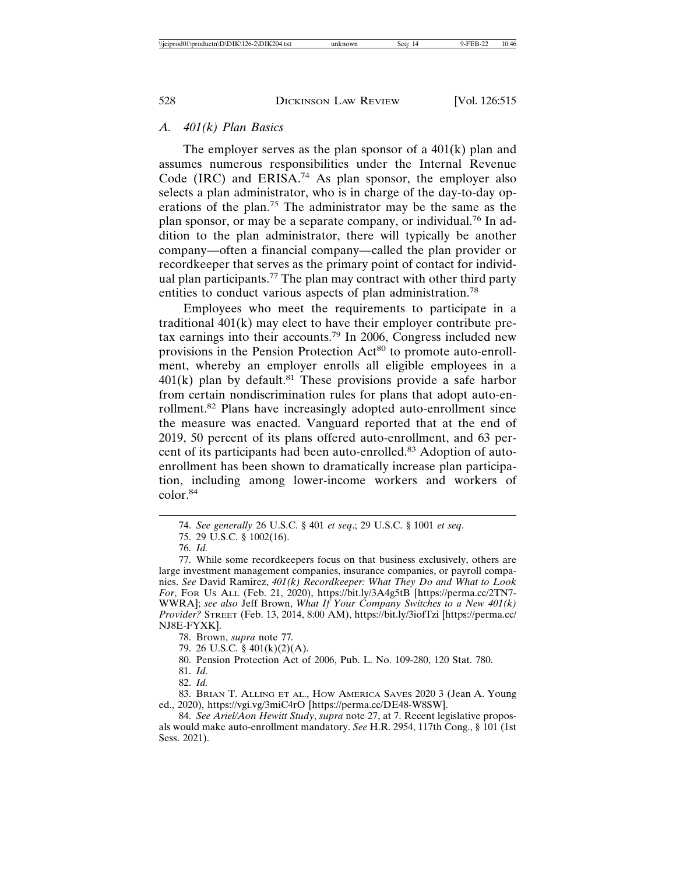## *A. 401(k) Plan Basics*

The employer serves as the plan sponsor of a  $401(k)$  plan and assumes numerous responsibilities under the Internal Revenue Code (IRC) and ERISA.<sup>74</sup> As plan sponsor, the employer also selects a plan administrator, who is in charge of the day-to-day operations of the plan.75 The administrator may be the same as the plan sponsor, or may be a separate company, or individual.76 In addition to the plan administrator, there will typically be another company—often a financial company—called the plan provider or recordkeeper that serves as the primary point of contact for individual plan participants.<sup>77</sup> The plan may contract with other third party entities to conduct various aspects of plan administration.<sup>78</sup>

Employees who meet the requirements to participate in a traditional 401(k) may elect to have their employer contribute pretax earnings into their accounts.79 In 2006, Congress included new provisions in the Pension Protection Act<sup>80</sup> to promote auto-enrollment, whereby an employer enrolls all eligible employees in a  $401(k)$  plan by default.<sup>81</sup> These provisions provide a safe harbor from certain nondiscrimination rules for plans that adopt auto-enrollment.82 Plans have increasingly adopted auto-enrollment since the measure was enacted. Vanguard reported that at the end of 2019, 50 percent of its plans offered auto-enrollment, and 63 percent of its participants had been auto-enrolled.<sup>83</sup> Adoption of autoenrollment has been shown to dramatically increase plan participation, including among lower-income workers and workers of color.84

80. Pension Protection Act of 2006, Pub. L. No. 109-280, 120 Stat. 780.

<sup>74.</sup> *See generally* 26 U.S.C. § 401 *et seq*.; 29 U.S.C. § 1001 *et seq*.

<sup>75. 29</sup> U.S.C. § 1002(16).

<sup>76.</sup> *Id.*

<sup>77.</sup> While some recordkeepers focus on that business exclusively, others are large investment management companies, insurance companies, or payroll companies. *See* David Ramirez, *401(k) Recordkeeper: What They Do and What to Look For*, FOR US ALL (Feb. 21, 2020), https://bit.ly/3A4g5tB [https://perma.cc/2TN7- WWRA]; *see also* Jeff Brown, *What If Your Company Switches to a New 401(k) Provider?* STREET (Feb. 13, 2014, 8:00 AM), https://bit.ly/3iofTzi [https://perma.cc/ NJ8E-FYXK].

<sup>78.</sup> Brown, *supra* note 77*.*

<sup>79. 26</sup> U.S.C. § 401(k)(2)(A).

<sup>81.</sup> *Id.*

<sup>82.</sup> *Id.*

<sup>83.</sup> BRIAN T. ALLING ET AL., HOW AMERICA SAVES 2020 3 (Jean A. Young ed., 2020), https://vgi.vg/3miC4rO [https://perma.cc/DE48-W8SW].

<sup>84.</sup> *See Ariel/Aon Hewitt Study*, *supra* note 27, at 7. Recent legislative proposals would make auto-enrollment mandatory. *See* H.R. 2954, 117th Cong., § 101 (1st Sess. 2021).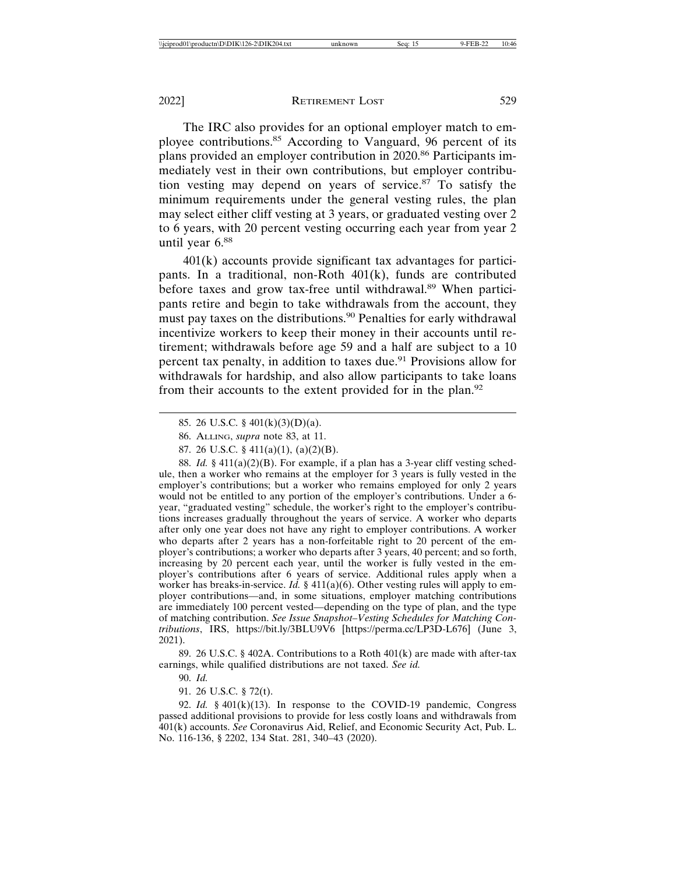The IRC also provides for an optional employer match to employee contributions.<sup>85</sup> According to Vanguard, 96 percent of its plans provided an employer contribution in 2020.86 Participants immediately vest in their own contributions, but employer contribution vesting may depend on years of service. $87$  To satisfy the minimum requirements under the general vesting rules, the plan

may select either cliff vesting at 3 years, or graduated vesting over 2 to 6 years, with 20 percent vesting occurring each year from year 2 until year 6.88

401(k) accounts provide significant tax advantages for participants. In a traditional, non-Roth 401(k), funds are contributed before taxes and grow tax-free until withdrawal.<sup>89</sup> When participants retire and begin to take withdrawals from the account, they must pay taxes on the distributions.<sup>90</sup> Penalties for early withdrawal incentivize workers to keep their money in their accounts until retirement; withdrawals before age 59 and a half are subject to a 10 percent tax penalty, in addition to taxes due.<sup>91</sup> Provisions allow for withdrawals for hardship, and also allow participants to take loans from their accounts to the extent provided for in the plan. $92$ 

88. *Id.* § 411(a)(2)(B). For example, if a plan has a 3-year cliff vesting schedule, then a worker who remains at the employer for 3 years is fully vested in the employer's contributions; but a worker who remains employed for only 2 years would not be entitled to any portion of the employer's contributions. Under a 6 year, "graduated vesting" schedule, the worker's right to the employer's contributions increases gradually throughout the years of service. A worker who departs after only one year does not have any right to employer contributions. A worker who departs after 2 years has a non-forfeitable right to 20 percent of the employer's contributions; a worker who departs after 3 years, 40 percent; and so forth, increasing by 20 percent each year, until the worker is fully vested in the employer's contributions after 6 years of service. Additional rules apply when a worker has breaks-in-service. *Id.* § 411(a)(6). Other vesting rules will apply to employer contributions—and, in some situations, employer matching contributions are immediately 100 percent vested—depending on the type of plan, and the type of matching contribution. *See Issue Snapshot–Vesting Schedules for Matching Contributions*, IRS, https://bit.ly/3BLU9V6 [https://perma.cc/LP3D-L676] (June 3, 2021).

89. 26 U.S.C. § 402A. Contributions to a Roth 401(k) are made with after-tax earnings, while qualified distributions are not taxed. *See id.*

90. *Id.*

91. 26 U.S.C. § 72(t).

92. *Id.* § 401(k)(13). In response to the COVID-19 pandemic, Congress passed additional provisions to provide for less costly loans and withdrawals from 401(k) accounts. *See* Coronavirus Aid, Relief, and Economic Security Act, Pub. L. No. 116-136, § 2202, 134 Stat. 281, 340–43 (2020).

<sup>85. 26</sup> U.S.C. § 401(k)(3)(D)(a).

<sup>86.</sup> ALLING, *supra* note 83, at 11.

<sup>87. 26</sup> U.S.C. § 411(a)(1), (a)(2)(B).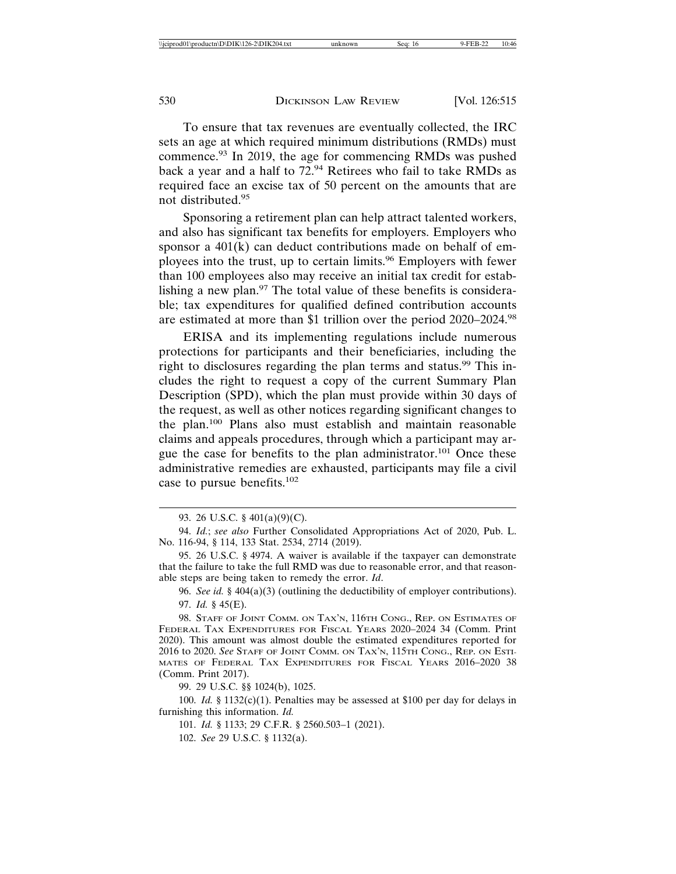To ensure that tax revenues are eventually collected, the IRC sets an age at which required minimum distributions (RMDs) must commence.93 In 2019, the age for commencing RMDs was pushed back a year and a half to  $72.94$  Retirees who fail to take RMDs as required face an excise tax of 50 percent on the amounts that are not distributed.95

Sponsoring a retirement plan can help attract talented workers, and also has significant tax benefits for employers. Employers who sponsor a  $401(k)$  can deduct contributions made on behalf of employees into the trust, up to certain limits.<sup>96</sup> Employers with fewer than 100 employees also may receive an initial tax credit for establishing a new plan.<sup>97</sup> The total value of these benefits is considerable; tax expenditures for qualified defined contribution accounts are estimated at more than \$1 trillion over the period 2020–2024.<sup>98</sup>

ERISA and its implementing regulations include numerous protections for participants and their beneficiaries, including the right to disclosures regarding the plan terms and status.<sup>99</sup> This includes the right to request a copy of the current Summary Plan Description (SPD), which the plan must provide within 30 days of the request, as well as other notices regarding significant changes to the plan.100 Plans also must establish and maintain reasonable claims and appeals procedures, through which a participant may argue the case for benefits to the plan administrator.<sup>101</sup> Once these administrative remedies are exhausted, participants may file a civil case to pursue benefits.102

96. *See id.* § 404(a)(3) (outlining the deductibility of employer contributions). 97. *Id.* § 45(E).

98. STAFF OF JOINT COMM. ON TAX'N, 116TH CONG., REP. ON ESTIMATES OF FEDERAL TAX EXPENDITURES FOR FISCAL YEARS 2020–2024 34 (Comm. Print 2020). This amount was almost double the estimated expenditures reported for 2016 to 2020. *See* STAFF OF JOINT COMM. ON TAX'N, 115TH CONG., REP. ON ESTI-MATES OF FEDERAL TAX EXPENDITURES FOR FISCAL YEARS 2016–2020 38 (Comm. Print 2017).

99. 29 U.S.C. §§ 1024(b), 1025.

100. *Id.* § 1132(c)(1). Penalties may be assessed at \$100 per day for delays in furnishing this information. *Id.*

101. *Id.* § 1133; 29 C.F.R. § 2560.503–1 (2021).

102. *See* 29 U.S.C. § 1132(a).

<sup>93. 26</sup> U.S.C. § 401(a)(9)(C).

<sup>94.</sup> *Id.*; *see also* Further Consolidated Appropriations Act of 2020, Pub. L. No. 116-94, § 114, 133 Stat. 2534, 2714 (2019).

<sup>95. 26</sup> U.S.C. § 4974. A waiver is available if the taxpayer can demonstrate that the failure to take the full RMD was due to reasonable error, and that reasonable steps are being taken to remedy the error. *Id*.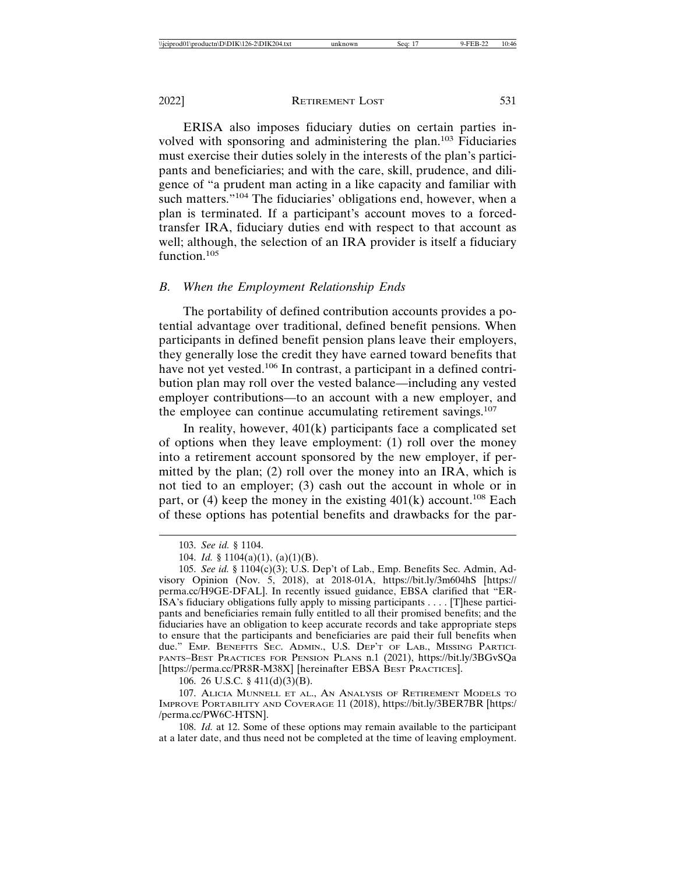ERISA also imposes fiduciary duties on certain parties involved with sponsoring and administering the plan.103 Fiduciaries must exercise their duties solely in the interests of the plan's participants and beneficiaries; and with the care, skill, prudence, and diligence of "a prudent man acting in a like capacity and familiar with such matters."<sup>104</sup> The fiduciaries' obligations end, however, when a plan is terminated. If a participant's account moves to a forcedtransfer IRA, fiduciary duties end with respect to that account as well; although, the selection of an IRA provider is itself a fiduciary function.<sup>105</sup>

## *B. When the Employment Relationship Ends*

The portability of defined contribution accounts provides a potential advantage over traditional, defined benefit pensions. When participants in defined benefit pension plans leave their employers, they generally lose the credit they have earned toward benefits that have not yet vested.<sup>106</sup> In contrast, a participant in a defined contribution plan may roll over the vested balance—including any vested employer contributions—to an account with a new employer, and the employee can continue accumulating retirement savings.<sup>107</sup>

In reality, however, 401(k) participants face a complicated set of options when they leave employment: (1) roll over the money into a retirement account sponsored by the new employer, if permitted by the plan; (2) roll over the money into an IRA, which is not tied to an employer; (3) cash out the account in whole or in part, or (4) keep the money in the existing  $401(k)$  account.<sup>108</sup> Each of these options has potential benefits and drawbacks for the par-

106. 26 U.S.C. § 411(d)(3)(B).

107. ALICIA MUNNELL ET AL., AN ANALYSIS OF RETIREMENT MODELS TO IMPROVE PORTABILITY AND COVERAGE 11 (2018), https://bit.ly/3BER7BR [https:/ /perma.cc/PW6C-HTSN].

108. *Id.* at 12. Some of these options may remain available to the participant at a later date, and thus need not be completed at the time of leaving employment.

<sup>103.</sup> *See id.* § 1104.

<sup>104.</sup> *Id.* § 1104(a)(1), (a)(1)(B).

<sup>105.</sup> *See id.* § 1104(c)(3); U.S. Dep't of Lab., Emp. Benefits Sec. Admin, Advisory Opinion (Nov. 5, 2018), at 2018-01A, https://bit.ly/3m604hS [https:// perma.cc/H9GE-DFAL]. In recently issued guidance, EBSA clarified that "ER-ISA's fiduciary obligations fully apply to missing participants . . . . [T]hese participants and beneficiaries remain fully entitled to all their promised benefits; and the fiduciaries have an obligation to keep accurate records and take appropriate steps to ensure that the participants and beneficiaries are paid their full benefits when due." EMP. BENEFITS SEC. ADMIN., U.S. DEP'T OF LAB., MISSING PARTICI-PANTS–BEST PRACTICES FOR PENSION PLANS n.1 (2021), https://bit.ly/3BGvSQa [https://perma.cc/PR8R-M38X] [hereinafter EBSA BEST PRACTICES].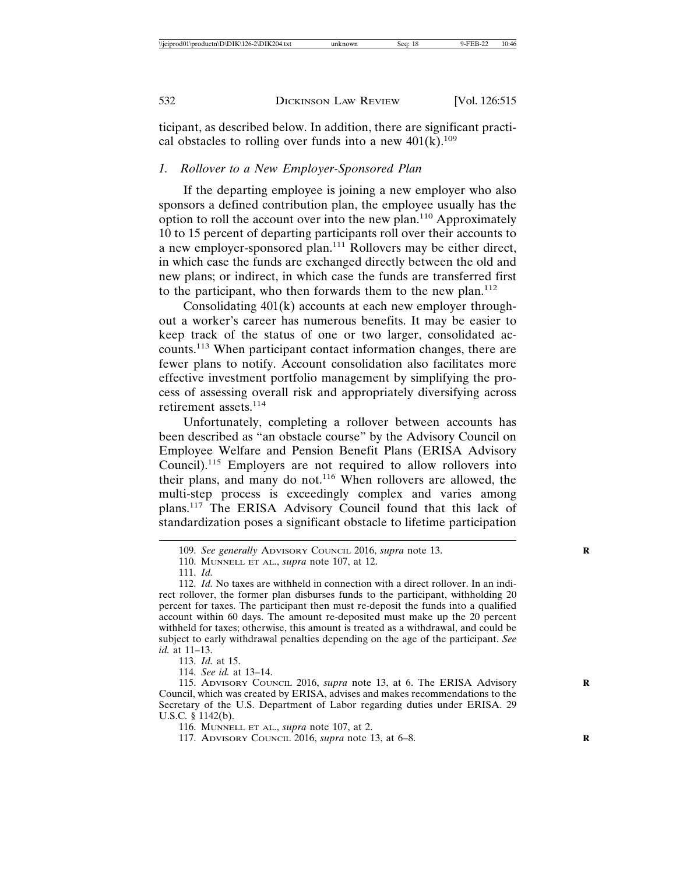ticipant, as described below. In addition, there are significant practical obstacles to rolling over funds into a new  $401(k)$ .<sup>109</sup>

## *1. Rollover to a New Employer-Sponsored Plan*

If the departing employee is joining a new employer who also sponsors a defined contribution plan, the employee usually has the option to roll the account over into the new plan.110 Approximately 10 to 15 percent of departing participants roll over their accounts to a new employer-sponsored plan.111 Rollovers may be either direct, in which case the funds are exchanged directly between the old and new plans; or indirect, in which case the funds are transferred first to the participant, who then forwards them to the new plan.<sup>112</sup>

Consolidating 401(k) accounts at each new employer throughout a worker's career has numerous benefits. It may be easier to keep track of the status of one or two larger, consolidated accounts.113 When participant contact information changes, there are fewer plans to notify. Account consolidation also facilitates more effective investment portfolio management by simplifying the process of assessing overall risk and appropriately diversifying across retirement assets.<sup>114</sup>

Unfortunately, completing a rollover between accounts has been described as "an obstacle course" by the Advisory Council on Employee Welfare and Pension Benefit Plans (ERISA Advisory Council).115 Employers are not required to allow rollovers into their plans, and many do not.116 When rollovers are allowed, the multi-step process is exceedingly complex and varies among plans.117 The ERISA Advisory Council found that this lack of standardization poses a significant obstacle to lifetime participation

113. *Id.* at 15.

114. *See id.* at 13–14.

<sup>109.</sup> *See generally* ADVISORY COUNCIL 2016, *supra* note 13. **R**

<sup>110.</sup> MUNNELL ET AL., *supra* note 107, at 12.

<sup>111.</sup> *Id.*

<sup>112.</sup> *Id.* No taxes are withheld in connection with a direct rollover. In an indirect rollover, the former plan disburses funds to the participant, withholding 20 percent for taxes. The participant then must re-deposit the funds into a qualified account within 60 days. The amount re-deposited must make up the 20 percent withheld for taxes; otherwise, this amount is treated as a withdrawal, and could be subject to early withdrawal penalties depending on the age of the participant. *See id.* at 11–13.

<sup>115.</sup> ADVISORY COUNCIL 2016, *supra* note 13, at 6. The ERISA Advisory **R** Council, which was created by ERISA, advises and makes recommendations to the Secretary of the U.S. Department of Labor regarding duties under ERISA. 29 U.S.C. § 1142(b).

<sup>116.</sup> MUNNELL ET AL., *supra* note 107, at 2.

<sup>117.</sup> ADVISORY COUNCIL 2016, *supra* note 13, at 6–8. **R**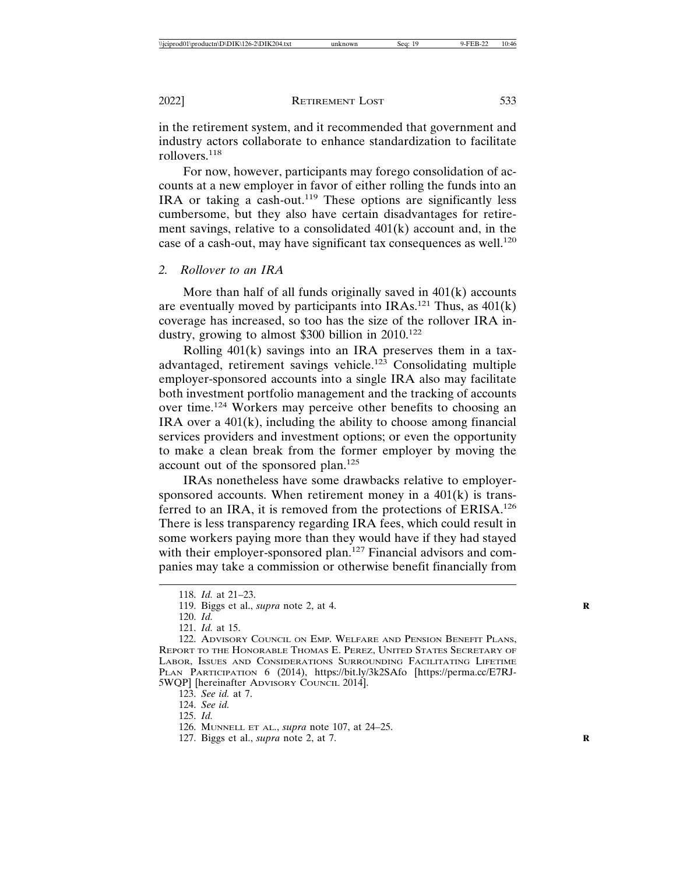in the retirement system, and it recommended that government and industry actors collaborate to enhance standardization to facilitate rollovers.<sup>118</sup>

For now, however, participants may forego consolidation of accounts at a new employer in favor of either rolling the funds into an IRA or taking a cash-out.119 These options are significantly less cumbersome, but they also have certain disadvantages for retirement savings, relative to a consolidated 401(k) account and, in the case of a cash-out, may have significant tax consequences as well.<sup>120</sup>

## *2. Rollover to an IRA*

More than half of all funds originally saved in  $401(k)$  accounts are eventually moved by participants into IRAs.<sup>121</sup> Thus, as  $401(k)$ coverage has increased, so too has the size of the rollover IRA industry, growing to almost \$300 billion in 2010.<sup>122</sup>

Rolling 401(k) savings into an IRA preserves them in a taxadvantaged, retirement savings vehicle.123 Consolidating multiple employer-sponsored accounts into a single IRA also may facilitate both investment portfolio management and the tracking of accounts over time.124 Workers may perceive other benefits to choosing an IRA over a  $401(k)$ , including the ability to choose among financial services providers and investment options; or even the opportunity to make a clean break from the former employer by moving the account out of the sponsored plan.<sup>125</sup>

IRAs nonetheless have some drawbacks relative to employersponsored accounts. When retirement money in a  $401(k)$  is transferred to an IRA, it is removed from the protections of ERISA.<sup>126</sup> There is less transparency regarding IRA fees, which could result in some workers paying more than they would have if they had stayed with their employer-sponsored plan.<sup>127</sup> Financial advisors and companies may take a commission or otherwise benefit financially from

123. *See id.* at 7.

124. *See id.*

125. *Id.*

<sup>118.</sup> *Id.* at 21–23.

<sup>119.</sup> Biggs et al., *supra* note 2, at 4. **R**

<sup>120.</sup> *Id.*

<sup>121.</sup> *Id.* at 15.

<sup>122.</sup> ADVISORY COUNCIL ON EMP. WELFARE AND PENSION BENEFIT PLANS, REPORT TO THE HONORABLE THOMAS E. PEREZ, UNITED STATES SECRETARY OF LABOR, ISSUES AND CONSIDERATIONS SURROUNDING FACILITATING LIFETIME PLAN PARTICIPATION 6 (2014), https://bit.ly/3k2SAfo [https://perma.cc/E7RJ-5WQP] [hereinafter ADVISORY COUNCIL 2014].

<sup>126.</sup> MUNNELL ET AL., *supra* note 107, at 24–25.

<sup>127.</sup> Biggs et al., *supra* note 2, at 7. **R**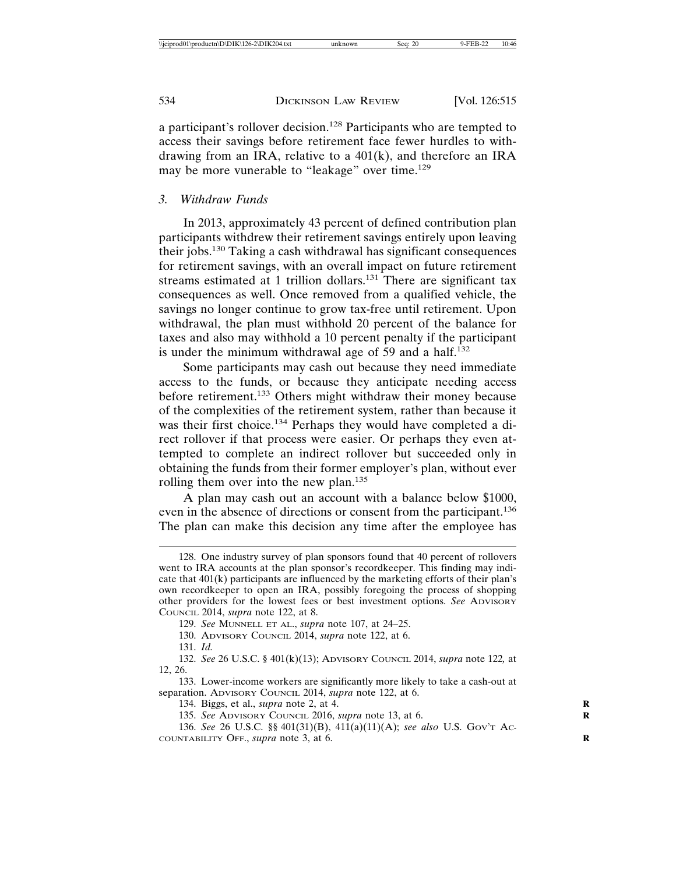a participant's rollover decision.128 Participants who are tempted to access their savings before retirement face fewer hurdles to withdrawing from an IRA, relative to a 401(k), and therefore an IRA may be more vunerable to "leakage" over time.<sup>129</sup>

#### *3. Withdraw Funds*

In 2013, approximately 43 percent of defined contribution plan participants withdrew their retirement savings entirely upon leaving their jobs.130 Taking a cash withdrawal has significant consequences for retirement savings, with an overall impact on future retirement streams estimated at 1 trillion dollars.<sup>131</sup> There are significant tax consequences as well. Once removed from a qualified vehicle, the savings no longer continue to grow tax-free until retirement. Upon withdrawal, the plan must withhold 20 percent of the balance for taxes and also may withhold a 10 percent penalty if the participant is under the minimum withdrawal age of  $\overline{59}$  and a half.<sup>132</sup>

Some participants may cash out because they need immediate access to the funds, or because they anticipate needing access before retirement.133 Others might withdraw their money because of the complexities of the retirement system, rather than because it was their first choice.<sup>134</sup> Perhaps they would have completed a direct rollover if that process were easier. Or perhaps they even attempted to complete an indirect rollover but succeeded only in obtaining the funds from their former employer's plan, without ever rolling them over into the new plan.<sup>135</sup>

A plan may cash out an account with a balance below \$1000, even in the absence of directions or consent from the participant.<sup>136</sup> The plan can make this decision any time after the employee has

131. *Id.*

<sup>128.</sup> One industry survey of plan sponsors found that 40 percent of rollovers went to IRA accounts at the plan sponsor's recordkeeper. This finding may indicate that 401(k) participants are influenced by the marketing efforts of their plan's own recordkeeper to open an IRA, possibly foregoing the process of shopping other providers for the lowest fees or best investment options. *See* ADVISORY COUNCIL 2014, *supra* note 122, at 8.

<sup>129.</sup> *See* MUNNELL ET AL., *supra* note 107, at 24–25.

<sup>130.</sup> ADVISORY COUNCIL 2014, *supra* note 122, at 6.

<sup>132.</sup> *See* 26 U.S.C. § 401(k)(13); ADVISORY COUNCIL 2014, *supra* note 122*,* at 12, 26.

<sup>133.</sup> Lower-income workers are significantly more likely to take a cash-out at separation. ADVISORY COUNCIL 2014, *supra* note 122, at 6.

<sup>134.</sup> Biggs, et al., *supra* note 2, at 4. **R**

<sup>135.</sup> *See* ADVISORY COUNCIL 2016, *supra* note 13, at 6. **R**

<sup>136.</sup> *See* 26 U.S.C. §§ 401(31)(B), 411(a)(11)(A); *see also* U.S. GOV'T AC-COUNTABILITY OFF., *supra* note 3, at 6. **R**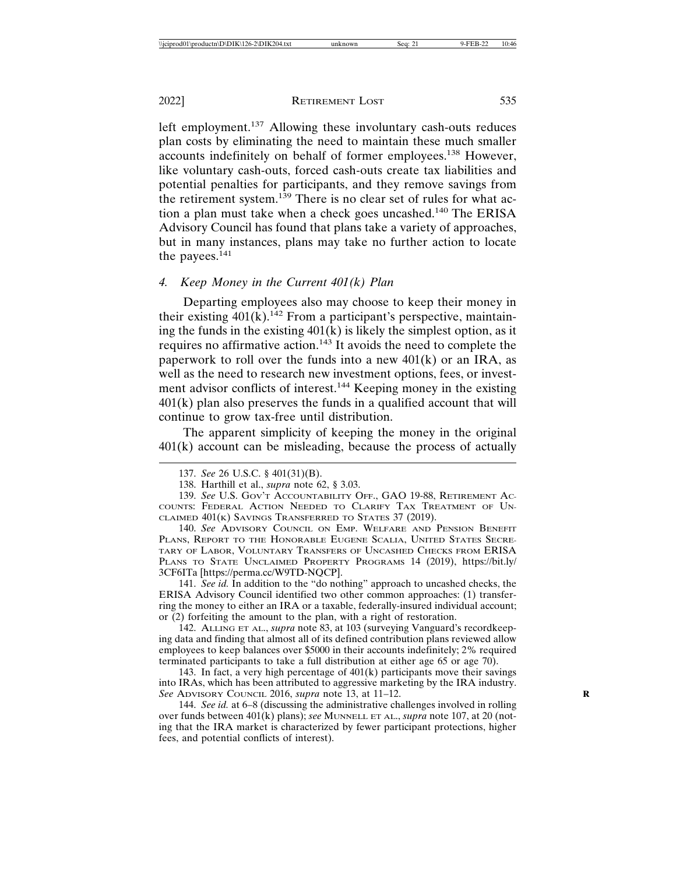left employment.<sup>137</sup> Allowing these involuntary cash-outs reduces plan costs by eliminating the need to maintain these much smaller accounts indefinitely on behalf of former employees.138 However, like voluntary cash-outs, forced cash-outs create tax liabilities and potential penalties for participants, and they remove savings from the retirement system.<sup>139</sup> There is no clear set of rules for what action a plan must take when a check goes uncashed.140 The ERISA Advisory Council has found that plans take a variety of approaches, but in many instances, plans may take no further action to locate the payees.<sup>141</sup>

#### *4. Keep Money in the Current 401(k) Plan*

Departing employees also may choose to keep their money in their existing  $401(k)$ .<sup>142</sup> From a participant's perspective, maintaining the funds in the existing  $401(k)$  is likely the simplest option, as it requires no affirmative action.143 It avoids the need to complete the paperwork to roll over the funds into a new  $401(k)$  or an IRA, as well as the need to research new investment options, fees, or investment advisor conflicts of interest.<sup>144</sup> Keeping money in the existing  $401(k)$  plan also preserves the funds in a qualified account that will continue to grow tax-free until distribution.

The apparent simplicity of keeping the money in the original  $401(k)$  account can be misleading, because the process of actually

140. *See* ADVISORY COUNCIL ON EMP. WELFARE AND PENSION BENEFIT PLANS, REPORT TO THE HONORABLE EUGENE SCALIA, UNITED STATES SECRE-TARY OF LABOR, VOLUNTARY TRANSFERS OF UNCASHED CHECKS FROM ERISA PLANS TO STATE UNCLAIMED PROPERTY PROGRAMS 14 (2019), https://bit.ly/ 3CF6ITa [https://perma.cc/W9TD-NQCP].

141. *See id.* In addition to the "do nothing" approach to uncashed checks, the ERISA Advisory Council identified two other common approaches: (1) transferring the money to either an IRA or a taxable, federally-insured individual account; or (2) forfeiting the amount to the plan, with a right of restoration.

142. ALLING ET AL., *supra* note 83, at 103 (surveying Vanguard's recordkeeping data and finding that almost all of its defined contribution plans reviewed allow employees to keep balances over \$5000 in their accounts indefinitely; 2% required terminated participants to take a full distribution at either age 65 or age 70).

143. In fact, a very high percentage of 401(k) participants move their savings into IRAs, which has been attributed to aggressive marketing by the IRA industry. *See* ADVISORY COUNCIL 2016, *supra* note 13, at 11–12. **R**

144. *See id.* at 6–8 (discussing the administrative challenges involved in rolling over funds between 401(k) plans); *see* MUNNELL ET AL., *supra* note 107, at 20 (noting that the IRA market is characterized by fewer participant protections, higher fees, and potential conflicts of interest).

<sup>137.</sup> *See* 26 U.S.C. § 401(31)(B).

<sup>138.</sup> Harthill et al., *supra* note 62, § 3.03.

<sup>139.</sup> *See* U.S. GOV'T ACCOUNTABILITY OFF., GAO 19-88, RETIREMENT AC-COUNTS: FEDERAL ACTION NEEDED TO CLARIFY TAX TREATMENT OF UN-CLAIMED  $401(\kappa)$  Savings Transferred to States 37 (2019).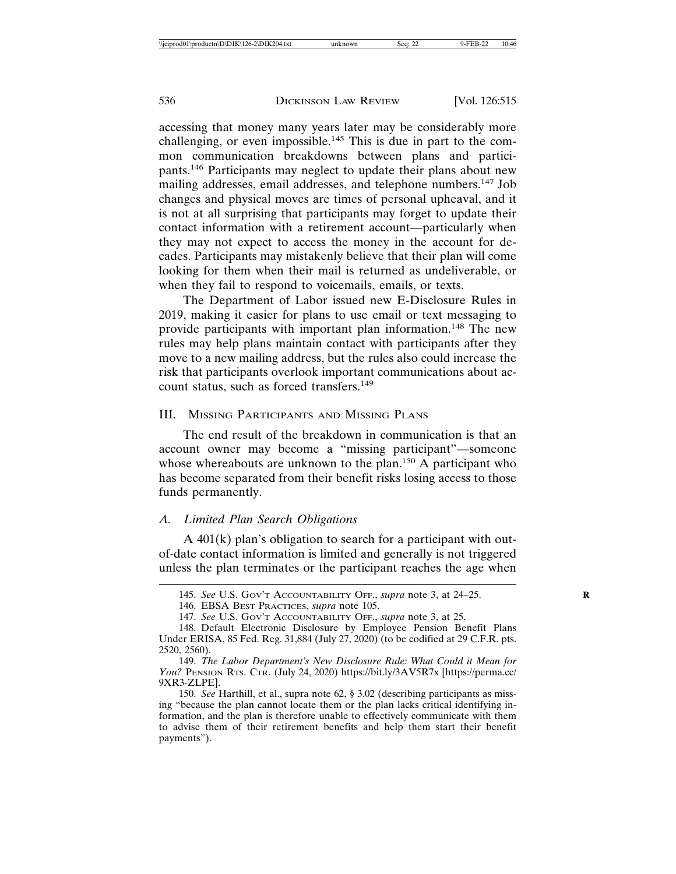accessing that money many years later may be considerably more challenging, or even impossible.<sup>145</sup> This is due in part to the common communication breakdowns between plans and participants.146 Participants may neglect to update their plans about new mailing addresses, email addresses, and telephone numbers.147 Job changes and physical moves are times of personal upheaval, and it is not at all surprising that participants may forget to update their contact information with a retirement account—particularly when they may not expect to access the money in the account for decades. Participants may mistakenly believe that their plan will come looking for them when their mail is returned as undeliverable, or when they fail to respond to voicemails, emails, or texts.

The Department of Labor issued new E-Disclosure Rules in 2019, making it easier for plans to use email or text messaging to provide participants with important plan information.148 The new rules may help plans maintain contact with participants after they move to a new mailing address, but the rules also could increase the risk that participants overlook important communications about account status, such as forced transfers.<sup>149</sup>

#### III. MISSING PARTICIPANTS AND MISSING PLANS

The end result of the breakdown in communication is that an account owner may become a "missing participant"—someone whose whereabouts are unknown to the plan.<sup>150</sup> A participant who has become separated from their benefit risks losing access to those funds permanently.

## *A. Limited Plan Search Obligations*

A 401(k) plan's obligation to search for a participant with outof-date contact information is limited and generally is not triggered unless the plan terminates or the participant reaches the age when

<sup>145.</sup> *See* U.S. GOV'T ACCOUNTABILITY OFF., *supra* note 3, at 24–25. **R**

<sup>146.</sup> EBSA BEST PRACTICES, *supra* note 105.

<sup>147.</sup> *See* U.S. GOV'T ACCOUNTABILITY OFF., *supra* note 3, at 25.

<sup>148.</sup> Default Electronic Disclosure by Employee Pension Benefit Plans Under ERISA, 85 Fed. Reg. 31,884 (July 27, 2020) (to be codified at 29 C.F.R. pts. 2520, 2560).

<sup>149.</sup> *The Labor Department's New Disclosure Rule: What Could it Mean for You?* PENSION RTS. CTR. (July 24, 2020) https://bit.ly/3AV5R7x [https://perma.cc/ 9XR3-ZLPE].

<sup>150.</sup> *See* Harthill, et al., supra note 62, § 3.02 (describing participants as missing "because the plan cannot locate them or the plan lacks critical identifying information, and the plan is therefore unable to effectively communicate with them to advise them of their retirement benefits and help them start their benefit payments").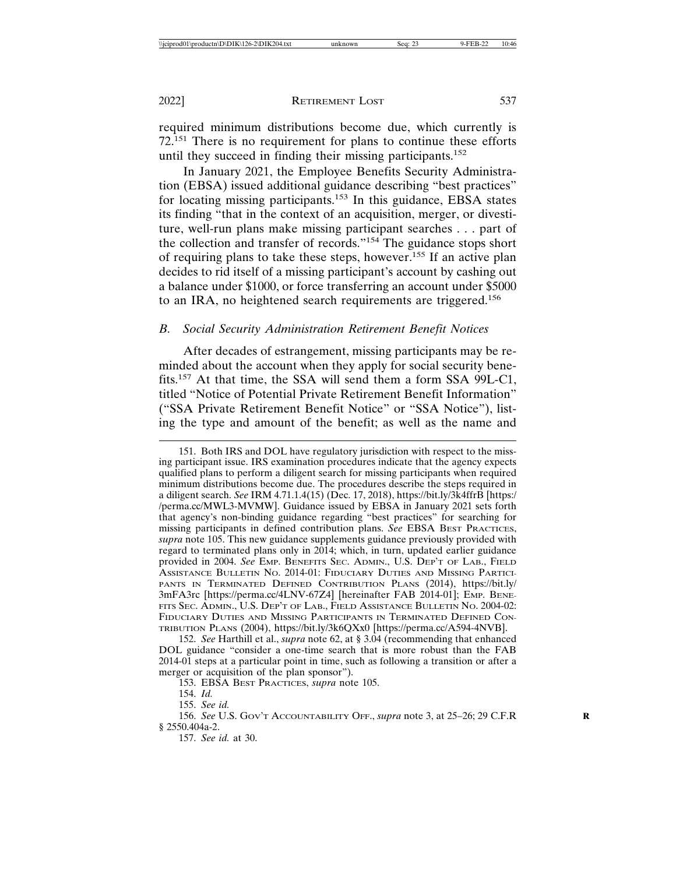required minimum distributions become due, which currently is 72.151 There is no requirement for plans to continue these efforts until they succeed in finding their missing participants.<sup>152</sup>

In January 2021, the Employee Benefits Security Administration (EBSA) issued additional guidance describing "best practices" for locating missing participants.<sup>153</sup> In this guidance, EBSA states its finding "that in the context of an acquisition, merger, or divestiture, well-run plans make missing participant searches . . . part of the collection and transfer of records."154 The guidance stops short of requiring plans to take these steps, however.<sup>155</sup> If an active plan decides to rid itself of a missing participant's account by cashing out a balance under \$1000, or force transferring an account under \$5000 to an IRA, no heightened search requirements are triggered.<sup>156</sup>

#### *B. Social Security Administration Retirement Benefit Notices*

After decades of estrangement, missing participants may be reminded about the account when they apply for social security benefits.157 At that time, the SSA will send them a form SSA 99L-C1, titled "Notice of Potential Private Retirement Benefit Information" ("SSA Private Retirement Benefit Notice" or "SSA Notice"), listing the type and amount of the benefit; as well as the name and

151. Both IRS and DOL have regulatory jurisdiction with respect to the missing participant issue. IRS examination procedures indicate that the agency expects qualified plans to perform a diligent search for missing participants when required minimum distributions become due. The procedures describe the steps required in a diligent search. *See* IRM 4.71.1.4(15) (Dec. 17, 2018), https://bit.ly/3k4ffrB [https:/ /perma.cc/MWL3-MVMW]. Guidance issued by EBSA in January 2021 sets forth that agency's non-binding guidance regarding "best practices" for searching for missing participants in defined contribution plans. *See* EBSA BEST PRACTICES, *supra* note 105. This new guidance supplements guidance previously provided with regard to terminated plans only in 2014; which, in turn, updated earlier guidance provided in 2004. *See* EMP. BENEFITS SEC. ADMIN., U.S. DEP'T OF LAB., FIELD ASSISTANCE BULLETIN NO. 2014-01: FIDUCIARY DUTIES AND MISSING PARTICI-PANTS IN TERMINATED DEFINED CONTRIBUTION PLANS (2014), https://bit.ly/ 3mFA3rc [https://perma.cc/4LNV-67Z4] [hereinafter FAB 2014-01]; EMP. BENE-FITS SEC. ADMIN., U.S. DEP'T OF LAB., FIELD ASSISTANCE BULLETIN NO. 2004-02: FIDUCIARY DUTIES AND MISSING PARTICIPANTS IN TERMINATED DEFINED CON-TRIBUTION PLANS (2004), https://bit.ly/3k6QXx0 [https://perma.cc/A594-4NVB].

152. *See* Harthill et al., *supra* note 62, at § 3.04 (recommending that enhanced DOL guidance "consider a one-time search that is more robust than the FAB 2014-01 steps at a particular point in time, such as following a transition or after a merger or acquisition of the plan sponsor").

153. EBSA BEST PRACTICES, *supra* note 105.

154. *Id.*

155. *See id.*

156. *See* U.S. GOV'T ACCOUNTABILITY OFF., *supra* note 3, at 25–26; 29 C.F.R **R** § 2550.404a-2.

157. *See id.* at 30.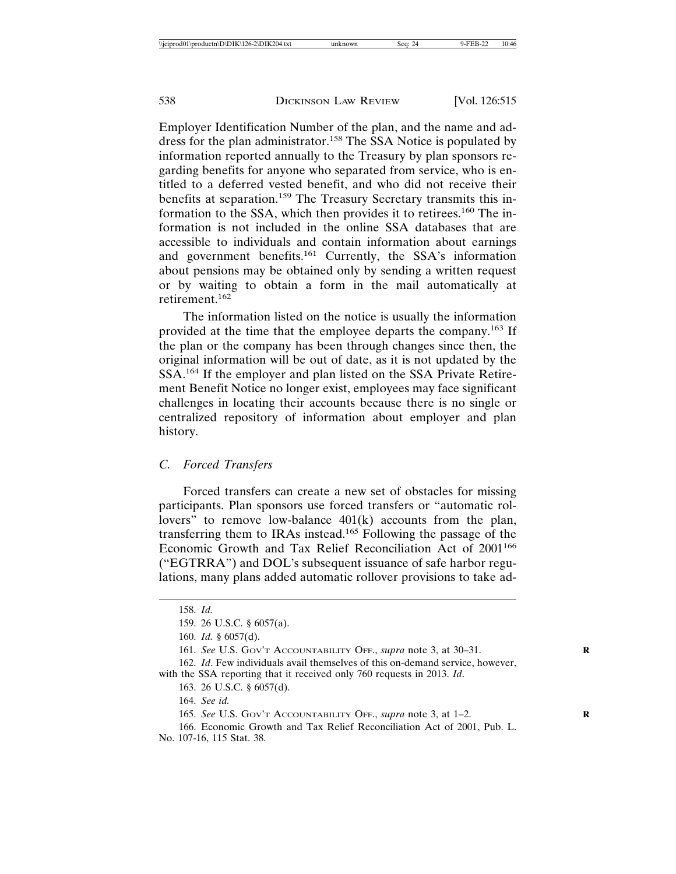Employer Identification Number of the plan, and the name and address for the plan administrator.<sup>158</sup> The SSA Notice is populated by information reported annually to the Treasury by plan sponsors regarding benefits for anyone who separated from service, who is entitled to a deferred vested benefit, and who did not receive their benefits at separation.<sup>159</sup> The Treasury Secretary transmits this information to the SSA, which then provides it to retirees.160 The information is not included in the online SSA databases that are accessible to individuals and contain information about earnings and government benefits.<sup>161</sup> Currently, the SSA's information about pensions may be obtained only by sending a written request or by waiting to obtain a form in the mail automatically at retirement.<sup>162</sup>

The information listed on the notice is usually the information provided at the time that the employee departs the company.163 If the plan or the company has been through changes since then, the original information will be out of date, as it is not updated by the SSA.164 If the employer and plan listed on the SSA Private Retirement Benefit Notice no longer exist, employees may face significant challenges in locating their accounts because there is no single or centralized repository of information about employer and plan history.

#### *C. Forced Transfers*

Forced transfers can create a new set of obstacles for missing participants. Plan sponsors use forced transfers or "automatic rollovers" to remove low-balance  $401(k)$  accounts from the plan, transferring them to IRAs instead.165 Following the passage of the Economic Growth and Tax Relief Reconciliation Act of 2001<sup>166</sup> ("EGTRRA") and DOL's subsequent issuance of safe harbor regulations, many plans added automatic rollover provisions to take ad-

<sup>158.</sup> *Id.*

<sup>159. 26</sup> U.S.C. § 6057(a).

<sup>160.</sup> *Id.* § 6057(d).

<sup>161.</sup> *See* U.S. GOV'T ACCOUNTABILITY OFF., *supra* note 3, at 30–31. **R**

<sup>162.</sup> *Id*. Few individuals avail themselves of this on-demand service, however, with the SSA reporting that it received only 760 requests in 2013. *Id*.

<sup>163. 26</sup> U.S.C. § 6057(d).

<sup>164.</sup> *See id.*

<sup>165.</sup> *See* U.S. GOV'T ACCOUNTABILITY OFF., *supra* note 3, at 1–2. **R**

<sup>166.</sup> Economic Growth and Tax Relief Reconciliation Act of 2001, Pub. L. No. 107-16, 115 Stat. 38.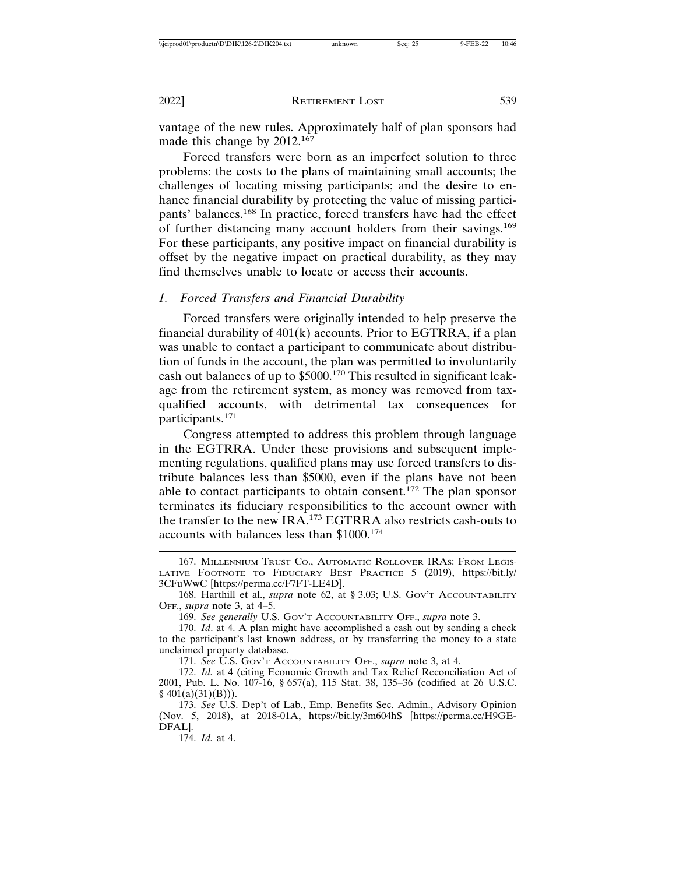vantage of the new rules. Approximately half of plan sponsors had made this change by 2012.<sup>167</sup>

Forced transfers were born as an imperfect solution to three problems: the costs to the plans of maintaining small accounts; the challenges of locating missing participants; and the desire to enhance financial durability by protecting the value of missing participants' balances.168 In practice, forced transfers have had the effect of further distancing many account holders from their savings.<sup>169</sup> For these participants, any positive impact on financial durability is offset by the negative impact on practical durability, as they may find themselves unable to locate or access their accounts.

## *1. Forced Transfers and Financial Durability*

Forced transfers were originally intended to help preserve the financial durability of 401(k) accounts. Prior to EGTRRA, if a plan was unable to contact a participant to communicate about distribution of funds in the account, the plan was permitted to involuntarily cash out balances of up to \$5000.170 This resulted in significant leakage from the retirement system, as money was removed from taxqualified accounts, with detrimental tax consequences for participants.<sup>171</sup>

Congress attempted to address this problem through language in the EGTRRA. Under these provisions and subsequent implementing regulations, qualified plans may use forced transfers to distribute balances less than \$5000, even if the plans have not been able to contact participants to obtain consent.<sup> $172$ </sup> The plan sponsor terminates its fiduciary responsibilities to the account owner with the transfer to the new IRA.173 EGTRRA also restricts cash-outs to accounts with balances less than \$1000.<sup>174</sup>

171. *See* U.S. GOV'T ACCOUNTABILITY OFF., *supra* note 3, at 4.

174. *Id.* at 4.

<sup>167.</sup> MILLENNIUM TRUST CO., AUTOMATIC ROLLOVER IRAS: FROM LEGIS-LATIVE FOOTNOTE TO FIDUCIARY BEST PRACTICE 5 (2019), https://bit.ly/ 3CFuWwC [https://perma.cc/F7FT-LE4D].

<sup>168.</sup> Harthill et al., *supra* note 62, at § 3.03; U.S. GOV'T ACCOUNTABILITY OFF., *supra* note 3, at 4–5.

<sup>169.</sup> *See generally* U.S. GOV'T ACCOUNTABILITY OFF., *supra* note 3.

<sup>170.</sup> *Id*. at 4. A plan might have accomplished a cash out by sending a check to the participant's last known address, or by transferring the money to a state unclaimed property database.

<sup>172.</sup> *Id.* at 4 (citing Economic Growth and Tax Relief Reconciliation Act of 2001, Pub. L. No. 107-16, § 657(a), 115 Stat. 38, 135–36 (codified at 26 U.S.C.  $§$  401(a)(31)(B))).

<sup>173.</sup> *See* U.S. Dep't of Lab., Emp. Benefits Sec. Admin., Advisory Opinion (Nov. 5, 2018), at 2018-01A, https://bit.ly/3m604hS [https://perma.cc/H9GE-DFAL].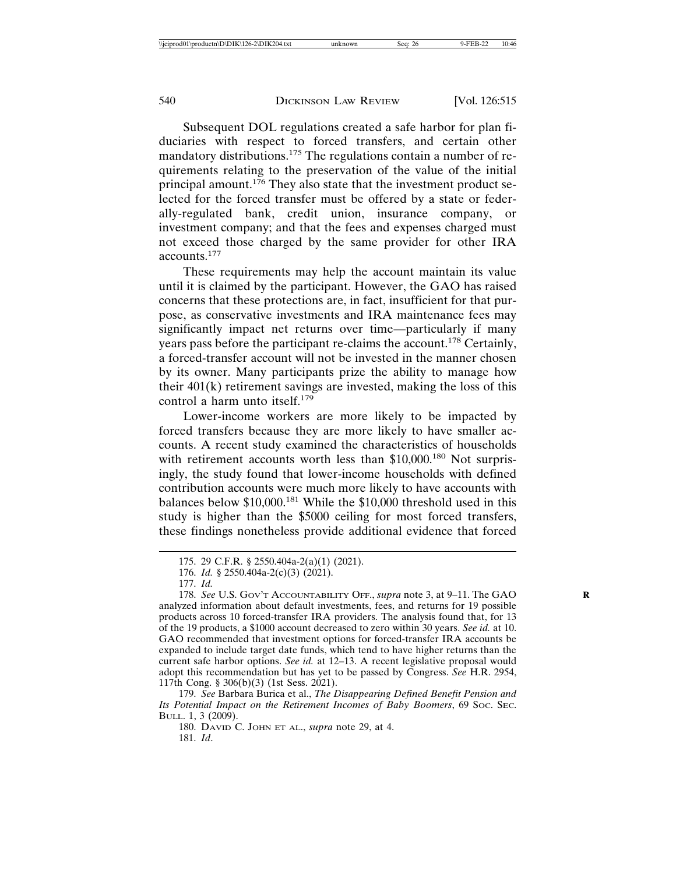Subsequent DOL regulations created a safe harbor for plan fiduciaries with respect to forced transfers, and certain other mandatory distributions.175 The regulations contain a number of requirements relating to the preservation of the value of the initial principal amount.176 They also state that the investment product selected for the forced transfer must be offered by a state or federally-regulated bank, credit union, insurance company, or investment company; and that the fees and expenses charged must not exceed those charged by the same provider for other IRA accounts.177

These requirements may help the account maintain its value until it is claimed by the participant. However, the GAO has raised concerns that these protections are, in fact, insufficient for that purpose, as conservative investments and IRA maintenance fees may significantly impact net returns over time—particularly if many years pass before the participant re-claims the account.178 Certainly, a forced-transfer account will not be invested in the manner chosen by its owner. Many participants prize the ability to manage how their 401(k) retirement savings are invested, making the loss of this control a harm unto itself.179

Lower-income workers are more likely to be impacted by forced transfers because they are more likely to have smaller accounts. A recent study examined the characteristics of households with retirement accounts worth less than \$10,000.<sup>180</sup> Not surprisingly, the study found that lower-income households with defined contribution accounts were much more likely to have accounts with balances below \$10,000.181 While the \$10,000 threshold used in this study is higher than the \$5000 ceiling for most forced transfers, these findings nonetheless provide additional evidence that forced

<sup>175. 29</sup> C.F.R. § 2550.404a-2(a)(1) (2021).

<sup>176.</sup> *Id.* § 2550.404a-2(c)(3) (2021).

<sup>177.</sup> *Id.*

<sup>178.</sup> *See* U.S. GOV'T ACCOUNTABILITY OFF., *supra* note 3, at 9–11. The GAO **R** analyzed information about default investments, fees, and returns for 19 possible products across 10 forced-transfer IRA providers. The analysis found that, for 13 of the 19 products, a \$1000 account decreased to zero within 30 years. *See id.* at 10. GAO recommended that investment options for forced-transfer IRA accounts be expanded to include target date funds, which tend to have higher returns than the current safe harbor options. *See id.* at 12–13. A recent legislative proposal would adopt this recommendation but has yet to be passed by Congress. *See* H.R. 2954, 117th Cong. § 306(b)(3) (1st Sess. 2021).

<sup>179.</sup> *See* Barbara Burica et al., *The Disappearing Defined Benefit Pension and Its Potential Impact on the Retirement Incomes of Baby Boomers*, 69 SOC. SEC. BULL. 1, 3 (2009).

<sup>180.</sup> DAVID C. JOHN ET AL., *supra* note 29, at 4. 181. *Id*.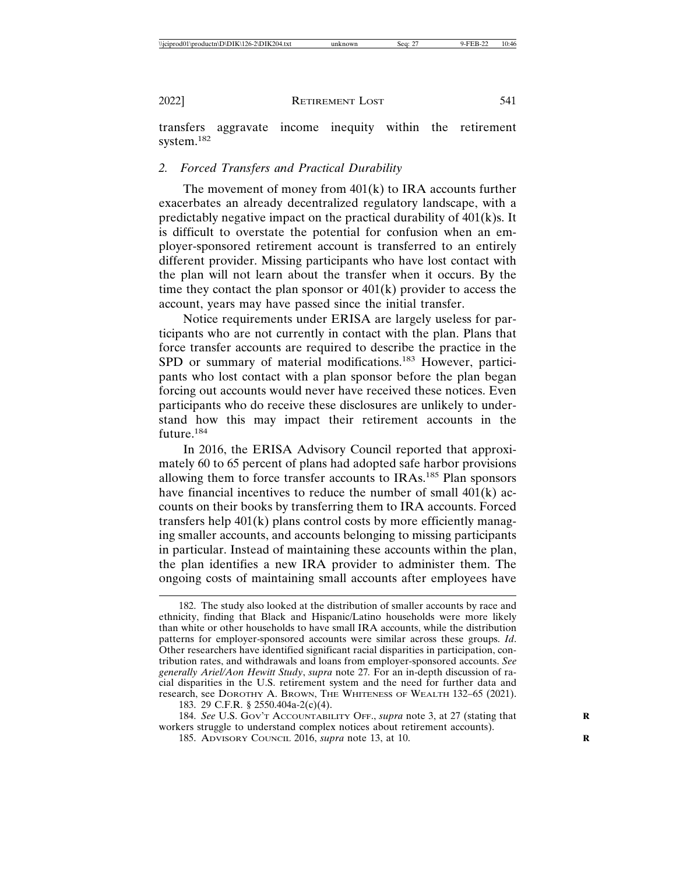transfers aggravate income inequity within the retirement system.<sup>182</sup>

## *2. Forced Transfers and Practical Durability*

The movement of money from 401(k) to IRA accounts further exacerbates an already decentralized regulatory landscape, with a predictably negative impact on the practical durability of  $401(k)s$ . It is difficult to overstate the potential for confusion when an employer-sponsored retirement account is transferred to an entirely different provider. Missing participants who have lost contact with the plan will not learn about the transfer when it occurs. By the time they contact the plan sponsor or 401(k) provider to access the account, years may have passed since the initial transfer.

Notice requirements under ERISA are largely useless for participants who are not currently in contact with the plan. Plans that force transfer accounts are required to describe the practice in the SPD or summary of material modifications.<sup>183</sup> However, participants who lost contact with a plan sponsor before the plan began forcing out accounts would never have received these notices. Even participants who do receive these disclosures are unlikely to understand how this may impact their retirement accounts in the future.184

In 2016, the ERISA Advisory Council reported that approximately 60 to 65 percent of plans had adopted safe harbor provisions allowing them to force transfer accounts to IRAs.185 Plan sponsors have financial incentives to reduce the number of small 401(k) accounts on their books by transferring them to IRA accounts. Forced transfers help  $401(k)$  plans control costs by more efficiently managing smaller accounts, and accounts belonging to missing participants in particular. Instead of maintaining these accounts within the plan, the plan identifies a new IRA provider to administer them. The ongoing costs of maintaining small accounts after employees have

183. 29 C.F.R. § 2550.404a-2(c)(4).

<sup>182.</sup> The study also looked at the distribution of smaller accounts by race and ethnicity, finding that Black and Hispanic/Latino households were more likely than white or other households to have small IRA accounts, while the distribution patterns for employer-sponsored accounts were similar across these groups. *Id*. Other researchers have identified significant racial disparities in participation, contribution rates, and withdrawals and loans from employer-sponsored accounts. *See generally Ariel/Aon Hewitt Study*, *supra* note 27*.* For an in-depth discussion of racial disparities in the U.S. retirement system and the need for further data and research, see DOROTHY A. BROWN, THE WHITENESS OF WEALTH 132–65 (2021).

<sup>184.</sup> *See* U.S. GOV'T ACCOUNTABILITY OFF., *supra* note 3, at 27 (stating that **R** workers struggle to understand complex notices about retirement accounts).

<sup>185.</sup> ADVISORY COUNCIL 2016, *supra* note 13, at 10. **R**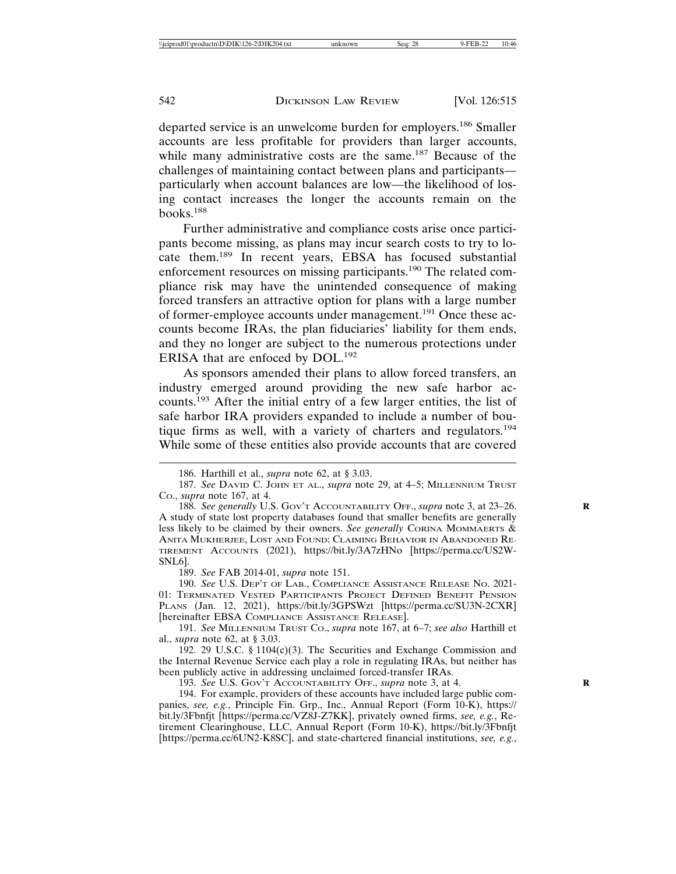departed service is an unwelcome burden for employers.186 Smaller accounts are less profitable for providers than larger accounts, while many administrative costs are the same.<sup>187</sup> Because of the challenges of maintaining contact between plans and participants particularly when account balances are low—the likelihood of losing contact increases the longer the accounts remain on the  $books.<sup>188</sup>$ 

Further administrative and compliance costs arise once participants become missing, as plans may incur search costs to try to locate them.189 In recent years, EBSA has focused substantial enforcement resources on missing participants.190 The related compliance risk may have the unintended consequence of making forced transfers an attractive option for plans with a large number of former-employee accounts under management.191 Once these accounts become IRAs, the plan fiduciaries' liability for them ends, and they no longer are subject to the numerous protections under ERISA that are enfoced by DOL.<sup>192</sup>

As sponsors amended their plans to allow forced transfers, an industry emerged around providing the new safe harbor accounts.193 After the initial entry of a few larger entities, the list of safe harbor IRA providers expanded to include a number of boutique firms as well, with a variety of charters and regulators.<sup>194</sup> While some of these entities also provide accounts that are covered

189. *See* FAB 2014-01, *supra* note 151.

190. *See* U.S. DEP'T OF LAB., COMPLIANCE ASSISTANCE RELEASE NO. 2021- 01: TERMINATED VESTED PARTICIPANTS PROJECT DEFINED BENEFIT PENSION PLANS (Jan. 12, 2021), https://bit.ly/3GPSWzt [https://perma.cc/SU3N-2CXR] [hereinafter EBSA COMPLIANCE ASSISTANCE RELEASE].

191. *See* MILLENNIUM TRUST CO., *supra* note 167, at 6–7; *see also* Harthill et al., *supra* note 62, at § 3.03.

192. 29 U.S.C. § 1104 $(c)(3)$ . The Securities and Exchange Commission and the Internal Revenue Service each play a role in regulating IRAs, but neither has been publicly active in addressing unclaimed forced-transfer IRAs.

193. *See* U.S. GOV'T ACCOUNTABILITY OFF., *supra* note 3, at 4. **R**

194. For example, providers of these accounts have included large public companies, *see, e.g.*, Principle Fin. Grp., Inc., Annual Report (Form 10-K), https:// bit.ly/3Fbnfjt [https://perma.cc/VZ8J-Z7KK], privately owned firms, *see, e.g.*, Retirement Clearinghouse, LLC, Annual Report (Form 10-K), https://bit.ly/3Fbnfjt [https://perma.cc/6UN2-K8SC], and state-chartered financial institutions, *see, e.g.*,

<sup>186.</sup> Harthill et al., *supra* note 62, at § 3.03.

<sup>187.</sup> *See* DAVID C. JOHN ET AL., *supra* note 29, at 4–5; MILLENNIUM TRUST CO., *supra* note 167, at 4.

<sup>188.</sup> *See generally* U.S. GOV'T ACCOUNTABILITY OFF., *supra* note 3, at 23–26. **R** A study of state lost property databases found that smaller benefits are generally less likely to be claimed by their owners. *See generally* CORINA MOMMAERTS & ANITA MUKHERJEE, LOST AND FOUND: CLAIMING BEHAVIOR IN ABANDONED RE-TIREMENT ACCOUNTS (2021), https://bit.ly/3A7zHNo [https://perma.cc/US2W-SNL6].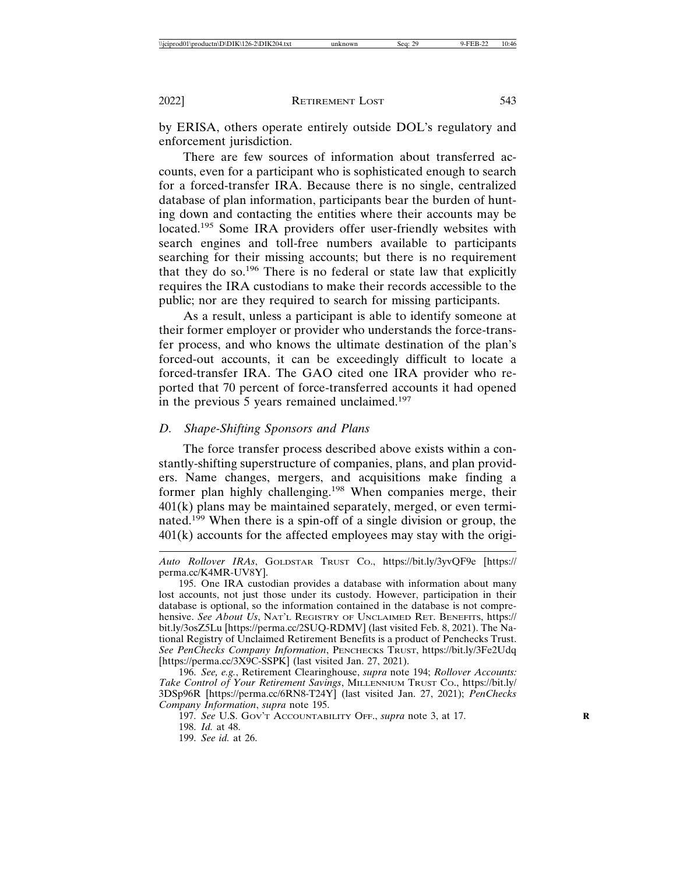by ERISA, others operate entirely outside DOL's regulatory and enforcement jurisdiction.

There are few sources of information about transferred accounts, even for a participant who is sophisticated enough to search for a forced-transfer IRA. Because there is no single, centralized database of plan information, participants bear the burden of hunting down and contacting the entities where their accounts may be located.195 Some IRA providers offer user-friendly websites with search engines and toll-free numbers available to participants searching for their missing accounts; but there is no requirement that they do so.<sup>196</sup> There is no federal or state law that explicitly requires the IRA custodians to make their records accessible to the public; nor are they required to search for missing participants.

As a result, unless a participant is able to identify someone at their former employer or provider who understands the force-transfer process, and who knows the ultimate destination of the plan's forced-out accounts, it can be exceedingly difficult to locate a forced-transfer IRA. The GAO cited one IRA provider who reported that 70 percent of force-transferred accounts it had opened in the previous 5 years remained unclaimed.<sup>197</sup>

#### *D. Shape-Shifting Sponsors and Plans*

The force transfer process described above exists within a constantly-shifting superstructure of companies, plans, and plan providers. Name changes, mergers, and acquisitions make finding a former plan highly challenging.198 When companies merge, their  $401(k)$  plans may be maintained separately, merged, or even terminated.199 When there is a spin-off of a single division or group, the  $401(k)$  accounts for the affected employees may stay with the origi-

*Auto Rollover IRAs*, GOLDSTAR TRUST CO., https://bit.ly/3yvQF9e [https:// perma.cc/K4MR-UV8Y].

<sup>195.</sup> One IRA custodian provides a database with information about many lost accounts, not just those under its custody. However, participation in their database is optional, so the information contained in the database is not comprehensive. *See About Us*, NAT'L REGISTRY OF UNCLAIMED RET. BENEFITS, https:// bit.ly/3osZ5Lu [https://perma.cc/2SUQ-RDMV] (last visited Feb. 8, 2021). The National Registry of Unclaimed Retirement Benefits is a product of Penchecks Trust. *See PenChecks Company Information*, PENCHECKS TRUST, https://bit.ly/3Fe2Udq [https://perma.cc/3X9C-SSPK] (last visited Jan. 27, 2021).

<sup>196.</sup> *See, e.g.*, Retirement Clearinghouse, *supra* note 194; *Rollover Accounts: Take Control of Your Retirement Savings*, MILLENNIUM TRUST CO., https://bit.ly/ 3DSp96R [https://perma.cc/6RN8-T24Y] (last visited Jan. 27, 2021); *PenChecks Company Information*, *supra* note 195.

<sup>197.</sup> *See* U.S. GOV'T ACCOUNTABILITY OFF., *supra* note 3, at 17. **R**

<sup>198.</sup> *Id.* at 48.

<sup>199.</sup> *See id.* at 26.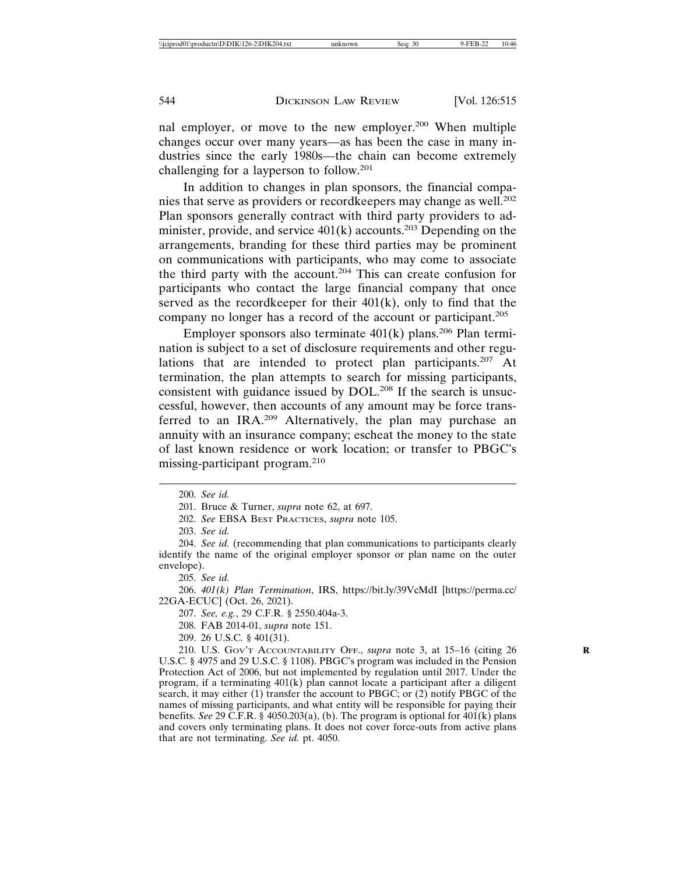nal employer, or move to the new employer.200 When multiple changes occur over many years—as has been the case in many industries since the early 1980s—the chain can become extremely challenging for a layperson to follow.<sup>201</sup>

In addition to changes in plan sponsors, the financial companies that serve as providers or recordkeepers may change as well.<sup>202</sup> Plan sponsors generally contract with third party providers to administer, provide, and service 401(k) accounts.<sup>203</sup> Depending on the arrangements, branding for these third parties may be prominent on communications with participants, who may come to associate the third party with the account.204 This can create confusion for participants who contact the large financial company that once served as the recordkeeper for their 401(k), only to find that the company no longer has a record of the account or participant.<sup>205</sup>

Employer sponsors also terminate  $401(k)$  plans.<sup>206</sup> Plan termination is subject to a set of disclosure requirements and other regulations that are intended to protect plan participants.<sup>207</sup> At termination, the plan attempts to search for missing participants, consistent with guidance issued by DOL.<sup>208</sup> If the search is unsuccessful, however, then accounts of any amount may be force transferred to an IRA.209 Alternatively, the plan may purchase an annuity with an insurance company; escheat the money to the state of last known residence or work location; or transfer to PBGC's missing-participant program.<sup>210</sup>

205. *See id.*

206. *401(k) Plan Termination*, IRS, https://bit.ly/39VcMdI [https://perma.cc/ 22GA-ECUC] (Oct. 26, 2021).

- 208. FAB 2014-01, *supra* note 151.
- 209. 26 U.S.C. § 401(31).

210. U.S. GOV'T ACCOUNTABILITY OFF., *supra* note 3, at 15–16 (citing 26 **R** U.S.C. § 4975 and 29 U.S.C. § 1108). PBGC's program was included in the Pension Protection Act of 2006, but not implemented by regulation until 2017. Under the program, if a terminating 401(k) plan cannot locate a participant after a diligent search, it may either (1) transfer the account to PBGC; or (2) notify PBGC of the names of missing participants, and what entity will be responsible for paying their benefits. *See* 29 C.F.R. § 4050.203(a), (b). The program is optional for 401(k) plans and covers only terminating plans. It does not cover force-outs from active plans that are not terminating. *See id.* pt. 4050.

<sup>200.</sup> *See id.*

<sup>201.</sup> Bruce & Turner, *supra* note 62, at 697.

<sup>202.</sup> *See* EBSA BEST PRACTICES, *supra* note 105.

<sup>203.</sup> *See id.*

<sup>204.</sup> *See id.* (recommending that plan communications to participants clearly identify the name of the original employer sponsor or plan name on the outer envelope).

<sup>207.</sup> *See, e.g.*, 29 C.F.R. § 2550.404a-3.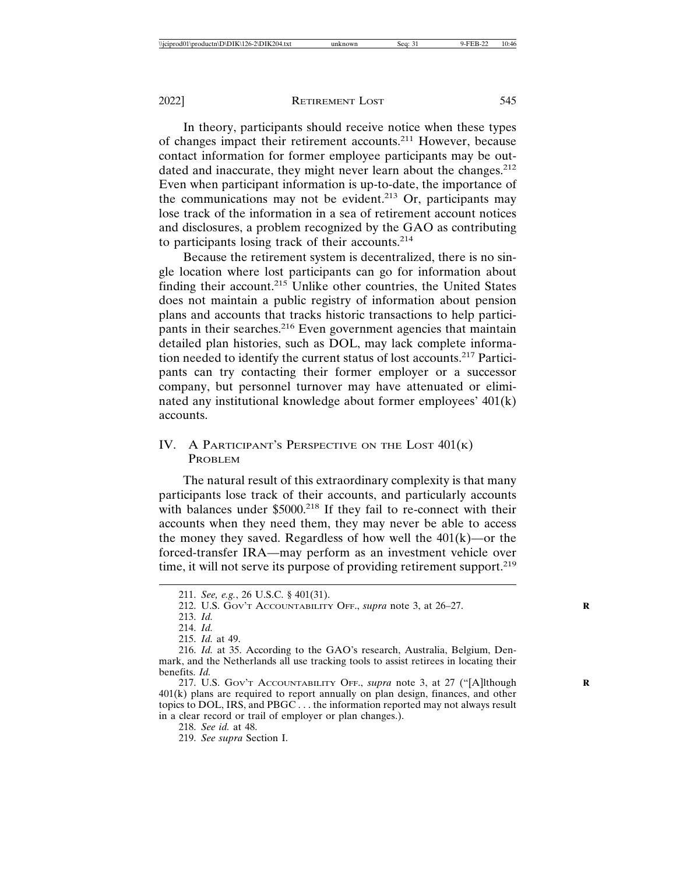In theory, participants should receive notice when these types of changes impact their retirement accounts.211 However, because contact information for former employee participants may be outdated and inaccurate, they might never learn about the changes.<sup>212</sup> Even when participant information is up-to-date, the importance of the communications may not be evident.<sup>213</sup> Or, participants may lose track of the information in a sea of retirement account notices and disclosures, a problem recognized by the GAO as contributing to participants losing track of their accounts. $214$ 

Because the retirement system is decentralized, there is no single location where lost participants can go for information about finding their account.215 Unlike other countries, the United States does not maintain a public registry of information about pension plans and accounts that tracks historic transactions to help participants in their searches.<sup>216</sup> Even government agencies that maintain detailed plan histories, such as DOL, may lack complete information needed to identify the current status of lost accounts.217 Participants can try contacting their former employer or a successor company, but personnel turnover may have attenuated or eliminated any institutional knowledge about former employees' 401(k) accounts.

## IV. A PARTICIPANT'S PERSPECTIVE ON THE LOST  $401(\text{k})$ PROBLEM

The natural result of this extraordinary complexity is that many participants lose track of their accounts, and particularly accounts with balances under \$5000.<sup>218</sup> If they fail to re-connect with their accounts when they need them, they may never be able to access the money they saved. Regardless of how well the  $401(k)$ —or the forced-transfer IRA—may perform as an investment vehicle over time, it will not serve its purpose of providing retirement support.<sup>219</sup>

<sup>211.</sup> *See, e.g.*, 26 U.S.C. § 401(31).

<sup>212.</sup> U.S. GOV'T ACCOUNTABILITY OFF., *supra* note 3, at 26–27. **R**

<sup>213.</sup> *Id.*

<sup>214.</sup> *Id.*

<sup>215.</sup> *Id.* at 49.

<sup>216.</sup> *Id.* at 35. According to the GAO's research, Australia, Belgium, Denmark, and the Netherlands all use tracking tools to assist retirees in locating their benefits. *Id.*

<sup>217.</sup> U.S. Gov't Accountability Off., *supra* note 3, at 27 ("[A]lthough 401(k) plans are required to report annually on plan design, finances, and other topics to DOL, IRS, and PBGC . . . the information reported may not always result in a clear record or trail of employer or plan changes.).

<sup>218.</sup> *See id.* at 48.

<sup>219.</sup> *See supra* Section I.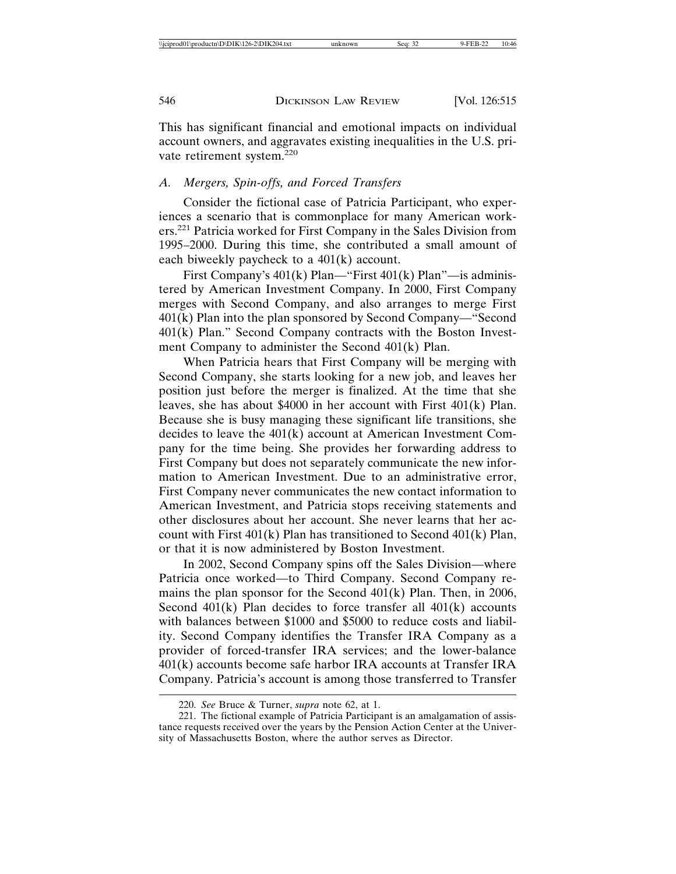This has significant financial and emotional impacts on individual account owners, and aggravates existing inequalities in the U.S. private retirement system.<sup>220</sup>

## *A. Mergers, Spin-offs, and Forced Transfers*

Consider the fictional case of Patricia Participant, who experiences a scenario that is commonplace for many American workers.221 Patricia worked for First Company in the Sales Division from 1995–2000. During this time, she contributed a small amount of each biweekly paycheck to a 401(k) account.

First Company's 401(k) Plan—"First 401(k) Plan"—is administered by American Investment Company. In 2000, First Company merges with Second Company, and also arranges to merge First 401(k) Plan into the plan sponsored by Second Company—"Second 401(k) Plan." Second Company contracts with the Boston Investment Company to administer the Second 401(k) Plan.

When Patricia hears that First Company will be merging with Second Company, she starts looking for a new job, and leaves her position just before the merger is finalized. At the time that she leaves, she has about \$4000 in her account with First 401(k) Plan. Because she is busy managing these significant life transitions, she decides to leave the 401(k) account at American Investment Company for the time being. She provides her forwarding address to First Company but does not separately communicate the new information to American Investment. Due to an administrative error, First Company never communicates the new contact information to American Investment, and Patricia stops receiving statements and other disclosures about her account. She never learns that her account with First  $401(k)$  Plan has transitioned to Second  $401(k)$  Plan, or that it is now administered by Boston Investment.

In 2002, Second Company spins off the Sales Division—where Patricia once worked—to Third Company. Second Company remains the plan sponsor for the Second 401(k) Plan. Then, in 2006, Second  $401(k)$  Plan decides to force transfer all  $401(k)$  accounts with balances between \$1000 and \$5000 to reduce costs and liability. Second Company identifies the Transfer IRA Company as a provider of forced-transfer IRA services; and the lower-balance 401(k) accounts become safe harbor IRA accounts at Transfer IRA Company. Patricia's account is among those transferred to Transfer

<sup>220.</sup> *See* Bruce & Turner, *supra* note 62, at 1.

<sup>221.</sup> The fictional example of Patricia Participant is an amalgamation of assistance requests received over the years by the Pension Action Center at the University of Massachusetts Boston, where the author serves as Director.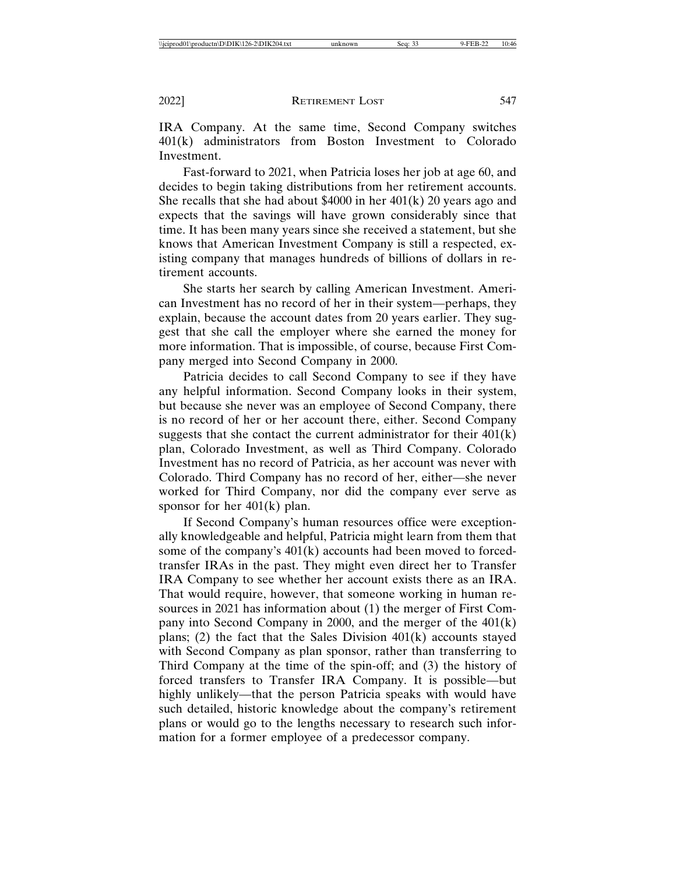IRA Company. At the same time, Second Company switches 401(k) administrators from Boston Investment to Colorado Investment.

Fast-forward to 2021, when Patricia loses her job at age 60, and decides to begin taking distributions from her retirement accounts. She recalls that she had about  $$4000$  in her  $401(k)$  20 years ago and expects that the savings will have grown considerably since that time. It has been many years since she received a statement, but she knows that American Investment Company is still a respected, existing company that manages hundreds of billions of dollars in retirement accounts.

She starts her search by calling American Investment. American Investment has no record of her in their system—perhaps, they explain, because the account dates from 20 years earlier. They suggest that she call the employer where she earned the money for more information. That is impossible, of course, because First Company merged into Second Company in 2000.

Patricia decides to call Second Company to see if they have any helpful information. Second Company looks in their system, but because she never was an employee of Second Company, there is no record of her or her account there, either. Second Company suggests that she contact the current administrator for their  $401(k)$ plan, Colorado Investment, as well as Third Company. Colorado Investment has no record of Patricia, as her account was never with Colorado. Third Company has no record of her, either—she never worked for Third Company, nor did the company ever serve as sponsor for her 401(k) plan.

If Second Company's human resources office were exceptionally knowledgeable and helpful, Patricia might learn from them that some of the company's 401(k) accounts had been moved to forcedtransfer IRAs in the past. They might even direct her to Transfer IRA Company to see whether her account exists there as an IRA. That would require, however, that someone working in human resources in 2021 has information about (1) the merger of First Company into Second Company in 2000, and the merger of the 401(k) plans; (2) the fact that the Sales Division  $401(k)$  accounts stayed with Second Company as plan sponsor, rather than transferring to Third Company at the time of the spin-off; and (3) the history of forced transfers to Transfer IRA Company. It is possible—but highly unlikely—that the person Patricia speaks with would have such detailed, historic knowledge about the company's retirement plans or would go to the lengths necessary to research such information for a former employee of a predecessor company.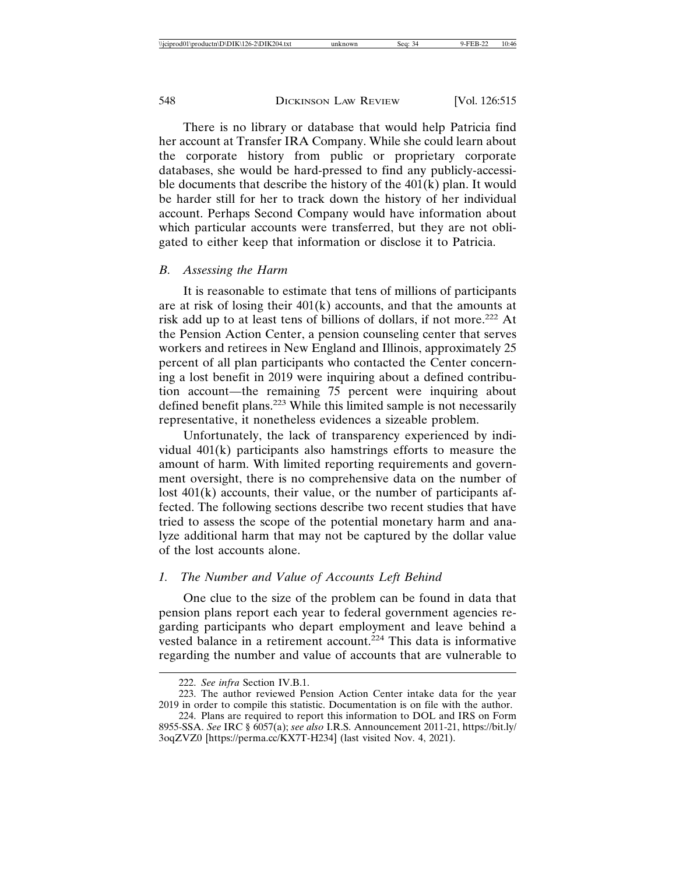There is no library or database that would help Patricia find her account at Transfer IRA Company. While she could learn about the corporate history from public or proprietary corporate databases, she would be hard-pressed to find any publicly-accessible documents that describe the history of the  $401(k)$  plan. It would be harder still for her to track down the history of her individual account. Perhaps Second Company would have information about which particular accounts were transferred, but they are not obligated to either keep that information or disclose it to Patricia.

#### *B. Assessing the Harm*

It is reasonable to estimate that tens of millions of participants are at risk of losing their 401(k) accounts, and that the amounts at risk add up to at least tens of billions of dollars, if not more.222 At the Pension Action Center, a pension counseling center that serves workers and retirees in New England and Illinois, approximately 25 percent of all plan participants who contacted the Center concerning a lost benefit in 2019 were inquiring about a defined contribution account—the remaining 75 percent were inquiring about defined benefit plans.<sup>223</sup> While this limited sample is not necessarily representative, it nonetheless evidences a sizeable problem.

Unfortunately, the lack of transparency experienced by individual 401(k) participants also hamstrings efforts to measure the amount of harm. With limited reporting requirements and government oversight, there is no comprehensive data on the number of lost 401(k) accounts, their value, or the number of participants affected. The following sections describe two recent studies that have tried to assess the scope of the potential monetary harm and analyze additional harm that may not be captured by the dollar value of the lost accounts alone.

### *1. The Number and Value of Accounts Left Behind*

One clue to the size of the problem can be found in data that pension plans report each year to federal government agencies regarding participants who depart employment and leave behind a vested balance in a retirement account.<sup>224</sup> This data is informative regarding the number and value of accounts that are vulnerable to

<sup>222.</sup> *See infra* Section IV.B.1.

<sup>223.</sup> The author reviewed Pension Action Center intake data for the year 2019 in order to compile this statistic. Documentation is on file with the author.

<sup>224.</sup> Plans are required to report this information to DOL and IRS on Form 8955-SSA. *See* IRC § 6057(a); *see also* I.R.S. Announcement 2011-21, https://bit.ly/ 3oqZVZ0 [https://perma.cc/KX7T-H234] (last visited Nov. 4, 2021).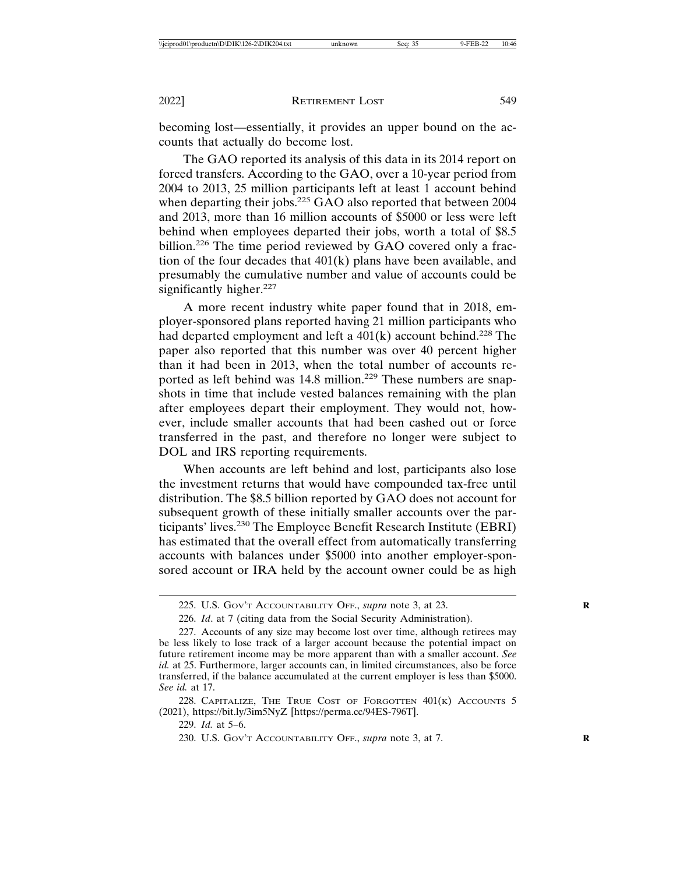becoming lost—essentially, it provides an upper bound on the accounts that actually do become lost.

The GAO reported its analysis of this data in its 2014 report on forced transfers. According to the GAO, over a 10-year period from 2004 to 2013, 25 million participants left at least 1 account behind when departing their jobs.<sup>225</sup> GAO also reported that between 2004 and 2013, more than 16 million accounts of \$5000 or less were left behind when employees departed their jobs, worth a total of \$8.5 billion.<sup>226</sup> The time period reviewed by GAO covered only a fraction of the four decades that 401(k) plans have been available, and presumably the cumulative number and value of accounts could be significantly higher.<sup>227</sup>

A more recent industry white paper found that in 2018, employer-sponsored plans reported having 21 million participants who had departed employment and left a  $401(k)$  account behind.<sup>228</sup> The paper also reported that this number was over 40 percent higher than it had been in 2013, when the total number of accounts reported as left behind was 14.8 million.<sup>229</sup> These numbers are snapshots in time that include vested balances remaining with the plan after employees depart their employment. They would not, however, include smaller accounts that had been cashed out or force transferred in the past, and therefore no longer were subject to DOL and IRS reporting requirements.

When accounts are left behind and lost, participants also lose the investment returns that would have compounded tax-free until distribution. The \$8.5 billion reported by GAO does not account for subsequent growth of these initially smaller accounts over the participants' lives.230 The Employee Benefit Research Institute (EBRI) has estimated that the overall effect from automatically transferring accounts with balances under \$5000 into another employer-sponsored account or IRA held by the account owner could be as high

<sup>225.</sup> U.S. GOV'T ACCOUNTABILITY OFF., *supra* note 3, at 23. **R**

<sup>226.</sup> *Id*. at 7 (citing data from the Social Security Administration).

<sup>227.</sup> Accounts of any size may become lost over time, although retirees may be less likely to lose track of a larger account because the potential impact on future retirement income may be more apparent than with a smaller account. *See id.* at 25. Furthermore, larger accounts can, in limited circumstances, also be force transferred, if the balance accumulated at the current employer is less than \$5000. *See id.* at 17.

<sup>228.</sup> CAPITALIZE, THE TRUE COST OF FORGOTTEN  $401(\text{k})$  Accounts 5 (2021), https://bit.ly/3im5NyZ [https://perma.cc/94ES-796T].

<sup>229.</sup> *Id.* at 5–6.

<sup>230.</sup> U.S. GOV'T ACCOUNTABILITY OFF., *supra* note 3, at 7. **R**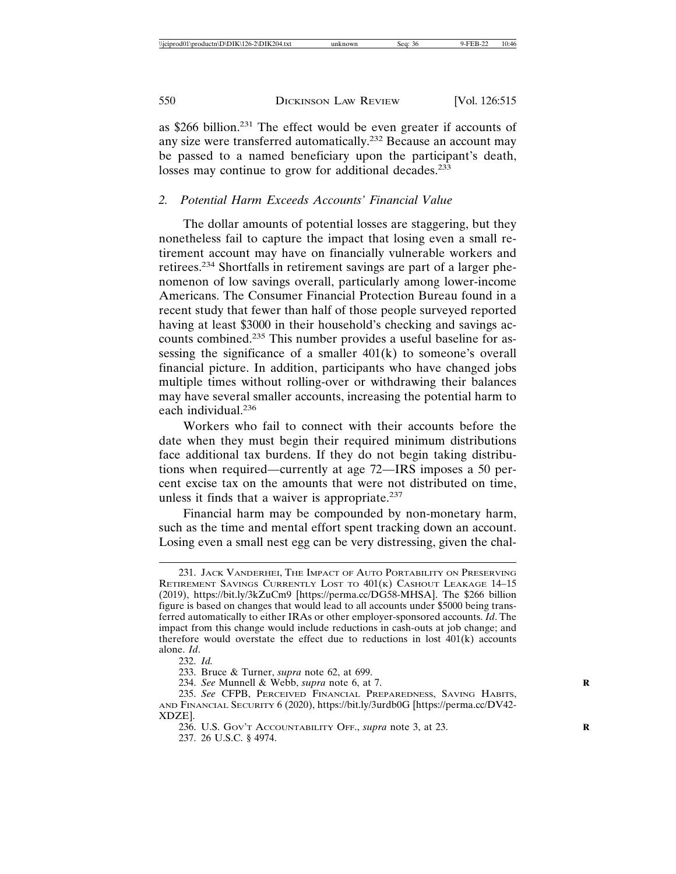as \$266 billion.231 The effect would be even greater if accounts of any size were transferred automatically.232 Because an account may be passed to a named beneficiary upon the participant's death, losses may continue to grow for additional decades.<sup>233</sup>

#### *2. Potential Harm Exceeds Accounts' Financial Value*

The dollar amounts of potential losses are staggering, but they nonetheless fail to capture the impact that losing even a small retirement account may have on financially vulnerable workers and retirees.234 Shortfalls in retirement savings are part of a larger phenomenon of low savings overall, particularly among lower-income Americans. The Consumer Financial Protection Bureau found in a recent study that fewer than half of those people surveyed reported having at least \$3000 in their household's checking and savings accounts combined.235 This number provides a useful baseline for assessing the significance of a smaller 401(k) to someone's overall financial picture. In addition, participants who have changed jobs multiple times without rolling-over or withdrawing their balances may have several smaller accounts, increasing the potential harm to each individual.<sup>236</sup>

Workers who fail to connect with their accounts before the date when they must begin their required minimum distributions face additional tax burdens. If they do not begin taking distributions when required—currently at age 72—IRS imposes a 50 percent excise tax on the amounts that were not distributed on time, unless it finds that a waiver is appropriate. $237$ 

Financial harm may be compounded by non-monetary harm, such as the time and mental effort spent tracking down an account. Losing even a small nest egg can be very distressing, given the chal-

<sup>231.</sup> JACK VANDERHEI, THE IMPACT OF AUTO PORTABILITY ON PRESERVING RETIREMENT SAVINGS CURRENTLY LOST TO 401(K) CASHOUT LEAKAGE 14-15 (2019), https://bit.ly/3kZuCm9 [https://perma.cc/DG58-MHSA]. The \$266 billion figure is based on changes that would lead to all accounts under \$5000 being transferred automatically to either IRAs or other employer-sponsored accounts. *Id*. The impact from this change would include reductions in cash-outs at job change; and therefore would overstate the effect due to reductions in lost  $401(k)$  accounts alone. *Id*.

<sup>232.</sup> *Id.*

<sup>233.</sup> Bruce & Turner, *supra* note 62, at 699.

<sup>234.</sup> *See* Munnell & Webb, *supra* note 6, at 7. **R**

<sup>235.</sup> *See* CFPB, PERCEIVED FINANCIAL PREPAREDNESS, SAVING HABITS, AND FINANCIAL SECURITY 6 (2020), https://bit.ly/3urdb0G [https://perma.cc/DV42- XDZE].

<sup>236.</sup> U.S. GOV'T ACCOUNTABILITY OFF., *supra* note 3, at 23. **R**

<sup>237. 26</sup> U.S.C. § 4974.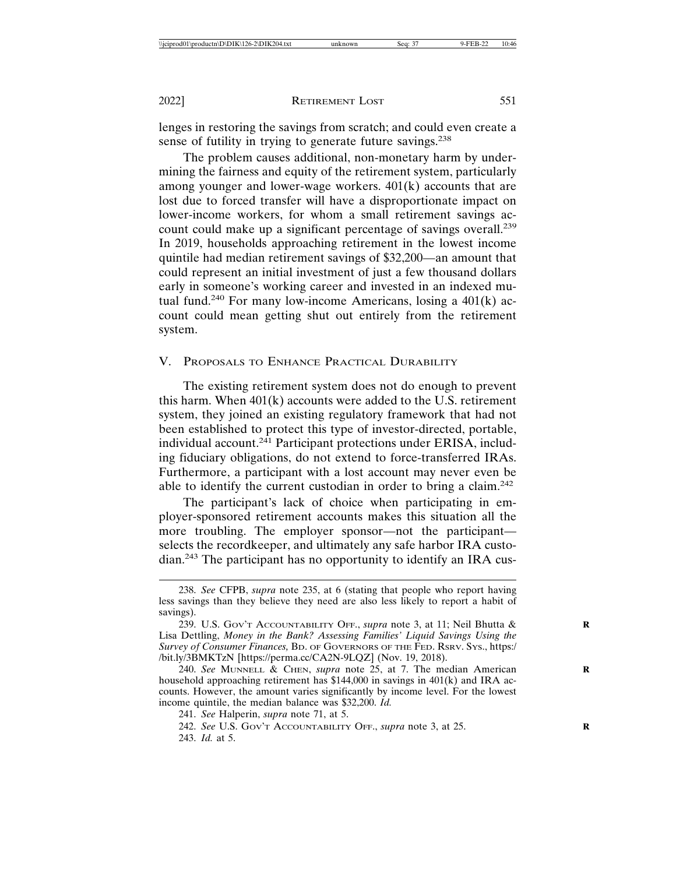lenges in restoring the savings from scratch; and could even create a sense of futility in trying to generate future savings.<sup>238</sup>

The problem causes additional, non-monetary harm by undermining the fairness and equity of the retirement system, particularly among younger and lower-wage workers. 401(k) accounts that are lost due to forced transfer will have a disproportionate impact on lower-income workers, for whom a small retirement savings account could make up a significant percentage of savings overall.<sup>239</sup> In 2019, households approaching retirement in the lowest income quintile had median retirement savings of \$32,200—an amount that could represent an initial investment of just a few thousand dollars early in someone's working career and invested in an indexed mutual fund.<sup>240</sup> For many low-income Americans, losing a  $401(k)$  account could mean getting shut out entirely from the retirement system.

#### V. PROPOSALS TO ENHANCE PRACTICAL DURABILITY

The existing retirement system does not do enough to prevent this harm. When 401(k) accounts were added to the U.S. retirement system, they joined an existing regulatory framework that had not been established to protect this type of investor-directed, portable, individual account.<sup>241</sup> Participant protections under ERISA, including fiduciary obligations, do not extend to force-transferred IRAs. Furthermore, a participant with a lost account may never even be able to identify the current custodian in order to bring a claim.<sup>242</sup>

The participant's lack of choice when participating in employer-sponsored retirement accounts makes this situation all the more troubling. The employer sponsor—not the participant selects the recordkeeper, and ultimately any safe harbor IRA custodian.243 The participant has no opportunity to identify an IRA cus-

<sup>238.</sup> *See* CFPB, *supra* note 235, at 6 (stating that people who report having less savings than they believe they need are also less likely to report a habit of savings).

<sup>239.</sup> U.S. GOV'T ACCOUNTABILITY OFF., *supra* note 3, at 11; Neil Bhutta & **R** Lisa Dettling, *Money in the Bank? Assessing Families' Liquid Savings Using the Survey of Consumer Finances,* BD. OF GOVERNORS OF THE FED. RSRV. SYS., https:/ /bit.ly/3BMKTzN [https://perma.cc/CA2N-9LQZ] (Nov. 19, 2018).

<sup>240.</sup> See MUNNELL & CHEN, *supra* note 25, at 7. The median American household approaching retirement has \$144,000 in savings in 401(k) and IRA accounts. However, the amount varies significantly by income level. For the lowest income quintile, the median balance was \$32,200. *Id.*

<sup>241.</sup> *See* Halperin, *supra* note 71, at 5.

<sup>242.</sup> *See* U.S. GOV'T ACCOUNTABILITY OFF., *supra* note 3, at 25. **R** 243. *Id.* at 5.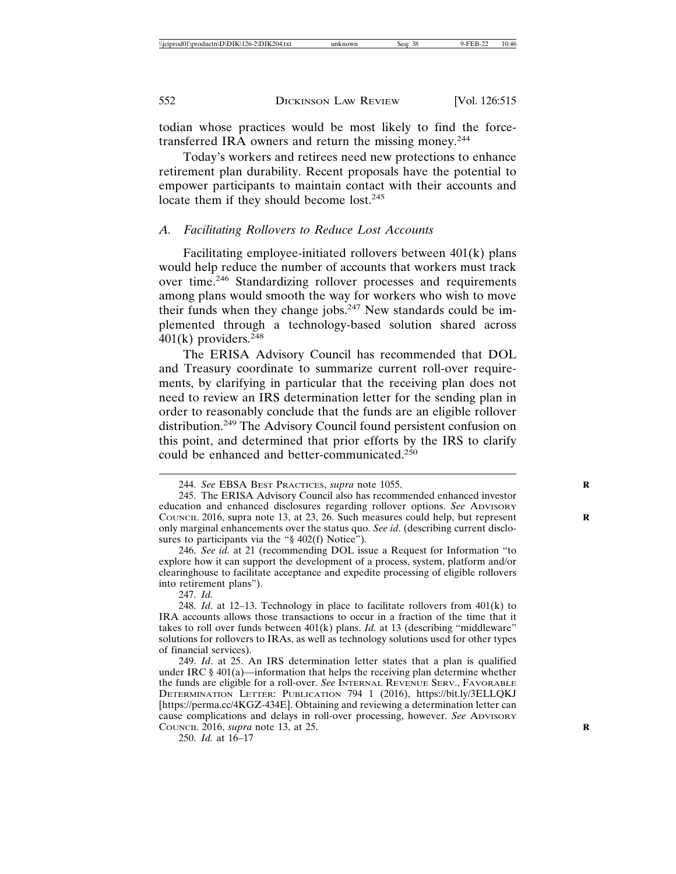todian whose practices would be most likely to find the forcetransferred IRA owners and return the missing money.<sup>244</sup>

Today's workers and retirees need new protections to enhance retirement plan durability. Recent proposals have the potential to empower participants to maintain contact with their accounts and locate them if they should become lost.<sup>245</sup>

#### *A. Facilitating Rollovers to Reduce Lost Accounts*

Facilitating employee-initiated rollovers between 401(k) plans would help reduce the number of accounts that workers must track over time.246 Standardizing rollover processes and requirements among plans would smooth the way for workers who wish to move their funds when they change jobs.<sup>247</sup> New standards could be implemented through a technology-based solution shared across  $401(k)$  providers.<sup>248</sup>

The ERISA Advisory Council has recommended that DOL and Treasury coordinate to summarize current roll-over requirements, by clarifying in particular that the receiving plan does not need to review an IRS determination letter for the sending plan in order to reasonably conclude that the funds are an eligible rollover distribution.<sup>249</sup> The Advisory Council found persistent confusion on this point, and determined that prior efforts by the IRS to clarify could be enhanced and better-communicated.<sup>250</sup>

246. *See id.* at 21 (recommending DOL issue a Request for Information "to explore how it can support the development of a process, system, platform and/or clearinghouse to facilitate acceptance and expedite processing of eligible rollovers into retirement plans").

247. *Id.*

<sup>244.</sup> *See* EBSA BEST PRACTICES, *supra* note 1055. **R**

<sup>245.</sup> The ERISA Advisory Council also has recommended enhanced investor education and enhanced disclosures regarding rollover options. *See* ADVISORY COUNCIL 2016, supra note 13, at 23, 26. Such measures could help, but represent only marginal enhancements over the status quo. *See id*. (describing current disclosures to participants via the "§ 402(f) Notice").

<sup>248.</sup> *Id*. at 12–13. Technology in place to facilitate rollovers from 401(k) to IRA accounts allows those transactions to occur in a fraction of the time that it takes to roll over funds between 401(k) plans. *Id.* at 13 (describing "middleware" solutions for rollovers to IRAs, as well as technology solutions used for other types of financial services).

<sup>249.</sup> *Id*. at 25. An IRS determination letter states that a plan is qualified under IRC § 401(a)—information that helps the receiving plan determine whether the funds are eligible for a roll-over. See INTERNAL REVENUE SERV., FAVORABLE DETERMINATION LETTER: PUBLICATION 794 1 (2016), https://bit.ly/3ELLQKJ [https://perma.cc/4KGZ-434E]. Obtaining and reviewing a determination letter can cause complications and delays in roll-over processing, however. *See* ADVISORY COUNCIL 2016, *supra* note 13, at 25. **R**

<sup>250.</sup> *Id.* at 16–17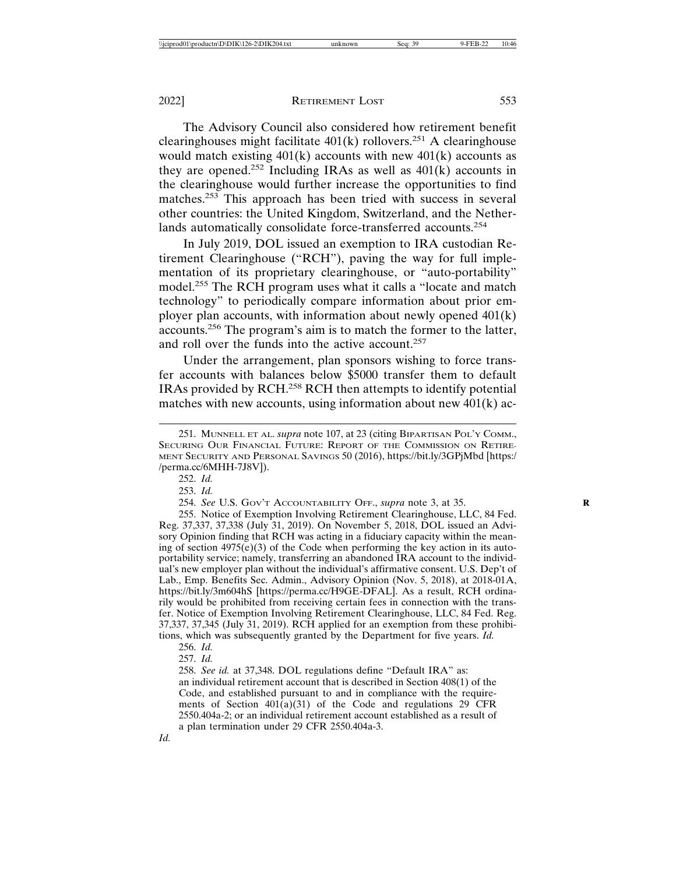The Advisory Council also considered how retirement benefit clearinghouses might facilitate  $401(k)$  rollovers.<sup>251</sup> A clearinghouse would match existing  $401(k)$  accounts with new  $401(k)$  accounts as they are opened.<sup>252</sup> Including IRAs as well as  $401(k)$  accounts in the clearinghouse would further increase the opportunities to find matches.<sup>253</sup> This approach has been tried with success in several other countries: the United Kingdom, Switzerland, and the Netherlands automatically consolidate force-transferred accounts.<sup>254</sup>

In July 2019, DOL issued an exemption to IRA custodian Retirement Clearinghouse ("RCH"), paving the way for full implementation of its proprietary clearinghouse, or "auto-portability" model.255 The RCH program uses what it calls a "locate and match technology" to periodically compare information about prior employer plan accounts, with information about newly opened 401(k) accounts.256 The program's aim is to match the former to the latter, and roll over the funds into the active account.<sup>257</sup>

Under the arrangement, plan sponsors wishing to force transfer accounts with balances below \$5000 transfer them to default IRAs provided by RCH.258 RCH then attempts to identify potential matches with new accounts, using information about new  $401(k)$  ac-

252. *Id.*

254. *See* U.S. GOV'T ACCOUNTABILITY OFF., *supra* note 3, at 35. **R**

255. Notice of Exemption Involving Retirement Clearinghouse, LLC, 84 Fed. Reg. 37,337, 37,338 (July 31, 2019). On November 5, 2018, DOL issued an Advisory Opinion finding that RCH was acting in a fiduciary capacity within the meaning of section  $4975(e)(3)$  of the Code when performing the key action in its autoportability service; namely, transferring an abandoned IRA account to the individual's new employer plan without the individual's affirmative consent. U.S. Dep't of Lab., Emp. Benefits Sec. Admin., Advisory Opinion (Nov. 5, 2018), at 2018-01A, https://bit.ly/3m604hS [https://perma.cc/H9GE-DFAL]. As a result, RCH ordinarily would be prohibited from receiving certain fees in connection with the transfer. Notice of Exemption Involving Retirement Clearinghouse, LLC, 84 Fed. Reg. 37,337, 37,345 (July 31, 2019). RCH applied for an exemption from these prohibitions, which was subsequently granted by the Department for five years. *Id.*

256. *Id.*

257. *Id.*

258. *See id.* at 37,348. DOL regulations define "Default IRA" as:

an individual retirement account that is described in Section 408(1) of the Code, and established pursuant to and in compliance with the requirements of Section  $401(a)(31)$  of the Code and regulations 29 CFR 2550.404a-2; or an individual retirement account established as a result of a plan termination under 29 CFR 2550.404a-3.

*Id.*

<sup>251.</sup> MUNNELL ET AL. *supra* note 107, at 23 (citing BIPARTISAN POL'Y COMM., SECURING OUR FINANCIAL FUTURE: REPORT OF THE COMMISSION ON RETIRE-MENT SECURITY AND PERSONAL SAVINGS 50 (2016), https://bit.ly/3GPjMbd [https:/ /perma.cc/6MHH-7J8V]).

<sup>253.</sup> *Id.*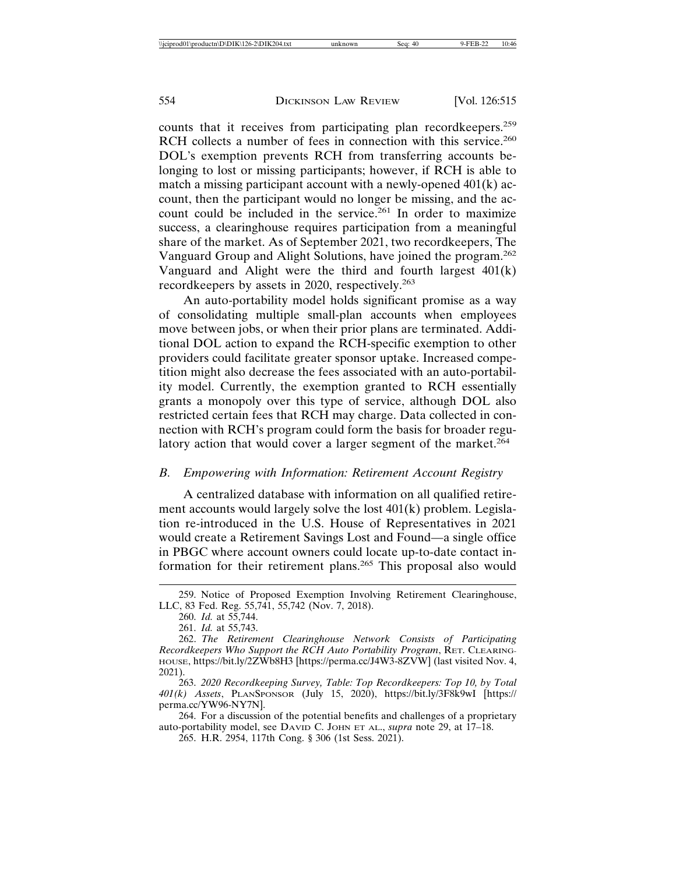counts that it receives from participating plan recordkeepers.<sup>259</sup> RCH collects a number of fees in connection with this service.<sup>260</sup> DOL's exemption prevents RCH from transferring accounts belonging to lost or missing participants; however, if RCH is able to match a missing participant account with a newly-opened 401(k) account, then the participant would no longer be missing, and the account could be included in the service.<sup>261</sup> In order to maximize success, a clearinghouse requires participation from a meaningful share of the market. As of September 2021, two recordkeepers, The Vanguard Group and Alight Solutions, have joined the program.<sup>262</sup> Vanguard and Alight were the third and fourth largest 401(k) recordkeepers by assets in 2020, respectively.<sup>263</sup>

An auto-portability model holds significant promise as a way of consolidating multiple small-plan accounts when employees move between jobs, or when their prior plans are terminated. Additional DOL action to expand the RCH-specific exemption to other providers could facilitate greater sponsor uptake. Increased competition might also decrease the fees associated with an auto-portability model. Currently, the exemption granted to RCH essentially grants a monopoly over this type of service, although DOL also restricted certain fees that RCH may charge. Data collected in connection with RCH's program could form the basis for broader regulatory action that would cover a larger segment of the market.<sup>264</sup>

## *B. Empowering with Information: Retirement Account Registry*

A centralized database with information on all qualified retirement accounts would largely solve the lost 401(k) problem. Legislation re-introduced in the U.S. House of Representatives in 2021 would create a Retirement Savings Lost and Found—a single office in PBGC where account owners could locate up-to-date contact information for their retirement plans.265 This proposal also would

<sup>259.</sup> Notice of Proposed Exemption Involving Retirement Clearinghouse, LLC, 83 Fed. Reg. 55,741, 55,742 (Nov. 7, 2018).

<sup>260.</sup> *Id.* at 55,744.

<sup>261.</sup> *Id.* at 55,743.

<sup>262.</sup> *The Retirement Clearinghouse Network Consists of Participating Recordkeepers Who Support the RCH Auto Portability Program*, RET. CLEARING-HOUSE, https://bit.ly/2ZWb8H3 [https://perma.cc/J4W3-8ZVW] (last visited Nov. 4, 2021).

<sup>263.</sup> *2020 Recordkeeping Survey, Table: Top Recordkeepers: Top 10, by Total 401(k) Assets*, PLANSPONSOR (July 15, 2020), https://bit.ly/3F8k9wI [https:// perma.cc/YW96-NY7N].

<sup>264.</sup> For a discussion of the potential benefits and challenges of a proprietary auto-portability model, see DAVID C. JOHN ET AL., *supra* note 29, at 17–18.

<sup>265.</sup> H.R. 2954, 117th Cong. § 306 (1st Sess. 2021).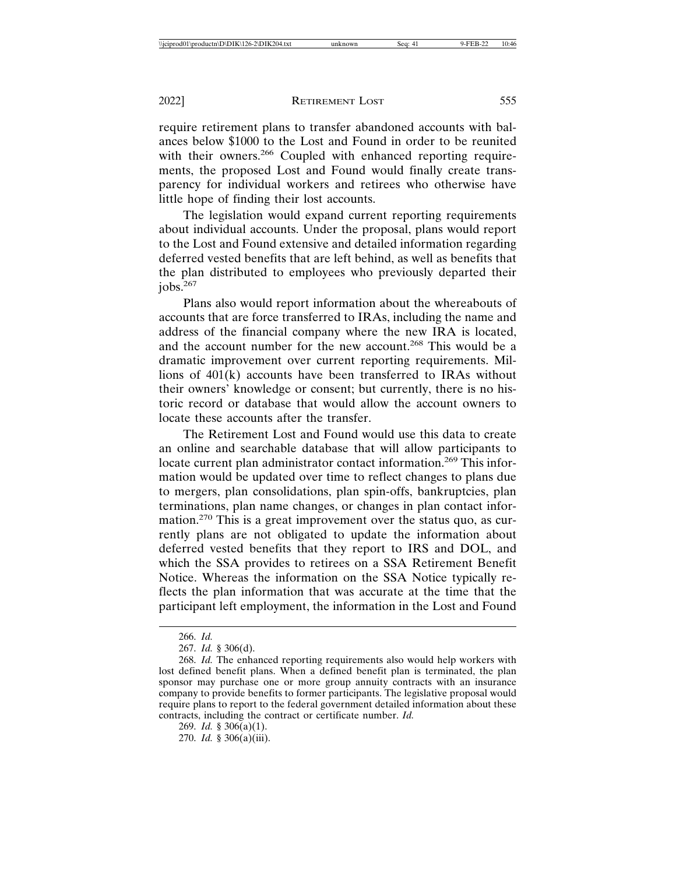require retirement plans to transfer abandoned accounts with balances below \$1000 to the Lost and Found in order to be reunited with their owners.<sup>266</sup> Coupled with enhanced reporting requirements, the proposed Lost and Found would finally create transparency for individual workers and retirees who otherwise have little hope of finding their lost accounts.

The legislation would expand current reporting requirements about individual accounts. Under the proposal, plans would report to the Lost and Found extensive and detailed information regarding deferred vested benefits that are left behind, as well as benefits that the plan distributed to employees who previously departed their jobs.<sup>267</sup>

Plans also would report information about the whereabouts of accounts that are force transferred to IRAs, including the name and address of the financial company where the new IRA is located, and the account number for the new account.268 This would be a dramatic improvement over current reporting requirements. Millions of 401(k) accounts have been transferred to IRAs without their owners' knowledge or consent; but currently, there is no historic record or database that would allow the account owners to locate these accounts after the transfer.

The Retirement Lost and Found would use this data to create an online and searchable database that will allow participants to locate current plan administrator contact information.<sup>269</sup> This information would be updated over time to reflect changes to plans due to mergers, plan consolidations, plan spin-offs, bankruptcies, plan terminations, plan name changes, or changes in plan contact information.270 This is a great improvement over the status quo, as currently plans are not obligated to update the information about deferred vested benefits that they report to IRS and DOL, and which the SSA provides to retirees on a SSA Retirement Benefit Notice. Whereas the information on the SSA Notice typically reflects the plan information that was accurate at the time that the participant left employment, the information in the Lost and Found

<sup>266.</sup> *Id.*

<sup>267.</sup> *Id.* § 306(d).

<sup>268.</sup> *Id.* The enhanced reporting requirements also would help workers with lost defined benefit plans. When a defined benefit plan is terminated, the plan sponsor may purchase one or more group annuity contracts with an insurance company to provide benefits to former participants. The legislative proposal would require plans to report to the federal government detailed information about these contracts, including the contract or certificate number. *Id.*

<sup>269.</sup> *Id.* § 306(a)(1).

<sup>270.</sup> *Id.* § 306(a)(iii).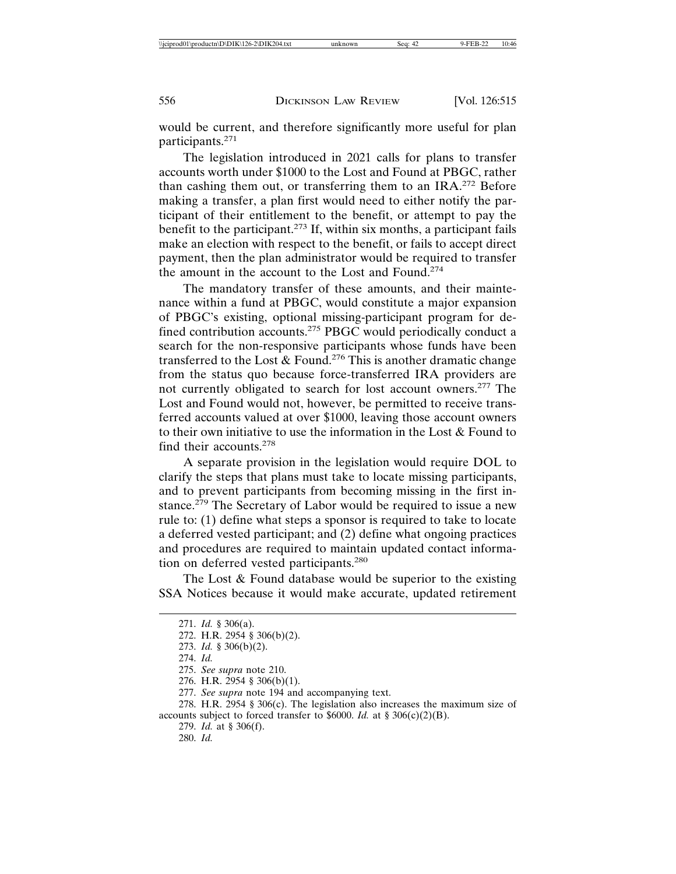would be current, and therefore significantly more useful for plan participants.<sup>271</sup>

The legislation introduced in 2021 calls for plans to transfer accounts worth under \$1000 to the Lost and Found at PBGC, rather than cashing them out, or transferring them to an IRA.272 Before making a transfer, a plan first would need to either notify the participant of their entitlement to the benefit, or attempt to pay the benefit to the participant.273 If, within six months, a participant fails make an election with respect to the benefit, or fails to accept direct payment, then the plan administrator would be required to transfer the amount in the account to the Lost and Found.<sup>274</sup>

The mandatory transfer of these amounts, and their maintenance within a fund at PBGC, would constitute a major expansion of PBGC's existing, optional missing-participant program for defined contribution accounts.275 PBGC would periodically conduct a search for the non-responsive participants whose funds have been transferred to the Lost & Found.276 This is another dramatic change from the status quo because force-transferred IRA providers are not currently obligated to search for lost account owners.277 The Lost and Found would not, however, be permitted to receive transferred accounts valued at over \$1000, leaving those account owners to their own initiative to use the information in the Lost & Found to find their accounts.<sup>278</sup>

A separate provision in the legislation would require DOL to clarify the steps that plans must take to locate missing participants, and to prevent participants from becoming missing in the first instance.<sup>279</sup> The Secretary of Labor would be required to issue a new rule to: (1) define what steps a sponsor is required to take to locate a deferred vested participant; and (2) define what ongoing practices and procedures are required to maintain updated contact information on deferred vested participants.<sup>280</sup>

The Lost & Found database would be superior to the existing SSA Notices because it would make accurate, updated retirement

278. H.R. 2954 § 306(c). The legislation also increases the maximum size of accounts subject to forced transfer to \$6000. *Id.* at § 306(c)(2)(B).

279. *Id.* at § 306(f).

280. *Id.*

<sup>271.</sup> *Id.* § 306(a).

<sup>272.</sup> H.R. 2954 § 306(b)(2).

<sup>273.</sup> *Id.* § 306(b)(2).

<sup>274.</sup> *Id.*

<sup>275.</sup> *See supra* note 210.

<sup>276.</sup> H.R. 2954 § 306(b)(1).

<sup>277.</sup> *See supra* note 194 and accompanying text.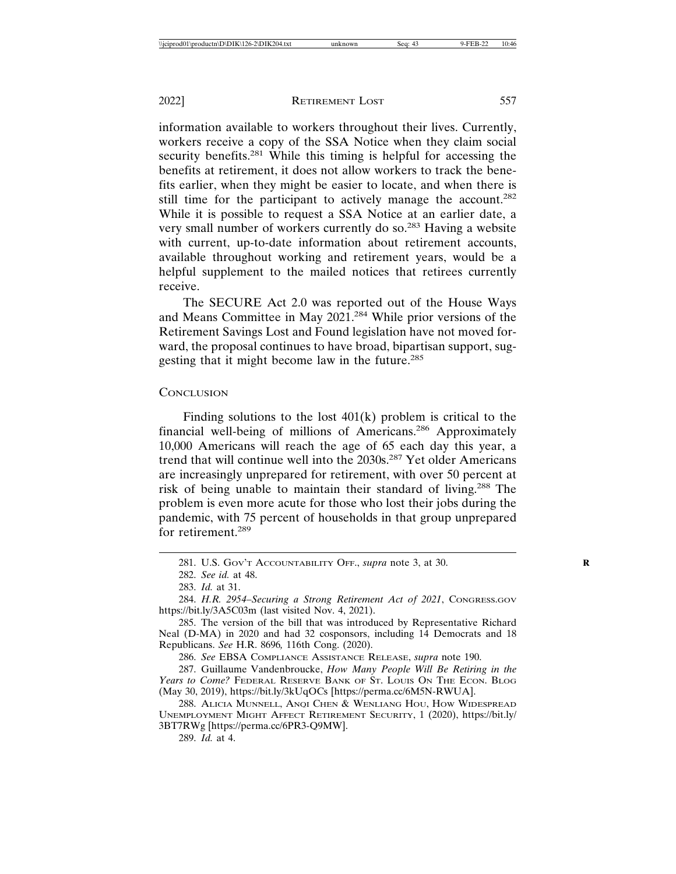information available to workers throughout their lives. Currently, workers receive a copy of the SSA Notice when they claim social security benefits.<sup>281</sup> While this timing is helpful for accessing the benefits at retirement, it does not allow workers to track the benefits earlier, when they might be easier to locate, and when there is still time for the participant to actively manage the account.<sup>282</sup> While it is possible to request a SSA Notice at an earlier date, a very small number of workers currently do so.283 Having a website with current, up-to-date information about retirement accounts, available throughout working and retirement years, would be a helpful supplement to the mailed notices that retirees currently receive.

The SECURE Act 2.0 was reported out of the House Ways and Means Committee in May 2021.284 While prior versions of the Retirement Savings Lost and Found legislation have not moved forward, the proposal continues to have broad, bipartisan support, suggesting that it might become law in the future.<sup>285</sup>

## **CONCLUSION**

Finding solutions to the lost  $401(k)$  problem is critical to the financial well-being of millions of Americans.286 Approximately 10,000 Americans will reach the age of 65 each day this year, a trend that will continue well into the 2030s.<sup>287</sup> Yet older Americans are increasingly unprepared for retirement, with over 50 percent at risk of being unable to maintain their standard of living.288 The problem is even more acute for those who lost their jobs during the pandemic, with 75 percent of households in that group unprepared for retirement.<sup>289</sup>

286. *See* EBSA COMPLIANCE ASSISTANCE RELEASE, *supra* note 190.

287. Guillaume Vandenbroucke, *How Many People Will Be Retiring in the* Years to Come? FEDERAL RESERVE BANK OF ST. LOUIS ON THE ECON. BLOG (May 30, 2019), https://bit.ly/3kUqOCs [https://perma.cc/6M5N-RWUA].

288. ALICIA MUNNELL, ANQI CHEN & WENLIANG HOU, HOW WIDESPREAD UNEMPLOYMENT MIGHT AFFECT RETIREMENT SECURITY, 1 (2020), https://bit.ly/ 3BT7RWg [https://perma.cc/6PR3-Q9MW].

289. *Id.* at 4.

<sup>281.</sup> U.S. GOV'T ACCOUNTABILITY OFF., *supra* note 3, at 30. **R**

<sup>282.</sup> *See id.* at 48.

<sup>283.</sup> *Id.* at 31.

<sup>284.</sup> *H.R. 2954–Securing a Strong Retirement Act of 2021*, CONGRESS.GOV https://bit.ly/3A5C03m (last visited Nov. 4, 2021).

<sup>285.</sup> The version of the bill that was introduced by Representative Richard Neal (D-MA) in 2020 and had 32 cosponsors, including 14 Democrats and 18 Republicans. *See* H.R. 8696*,* 116th Cong. (2020).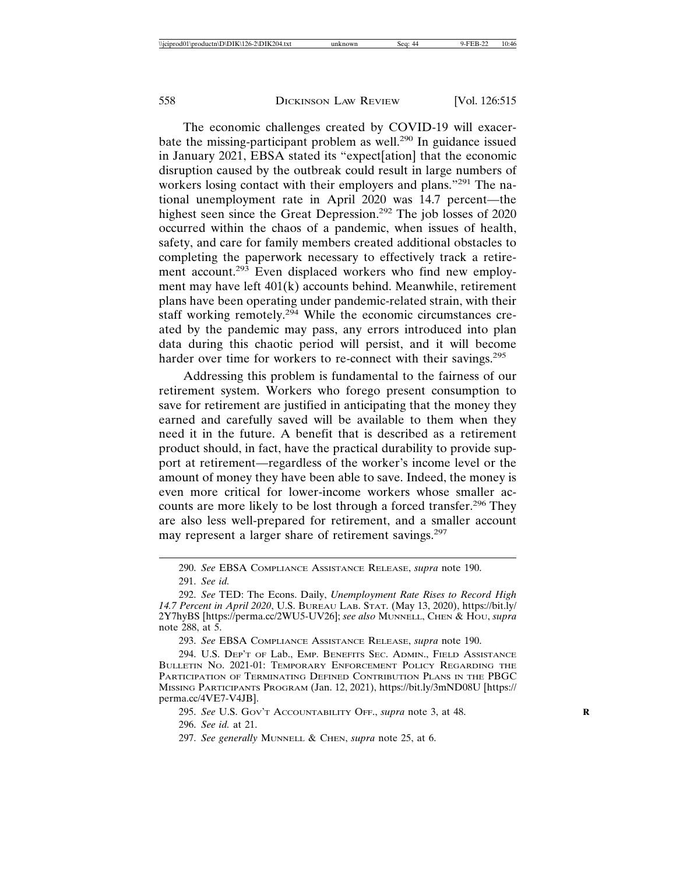The economic challenges created by COVID-19 will exacerbate the missing-participant problem as well.290 In guidance issued in January 2021, EBSA stated its "expect[ation] that the economic disruption caused by the outbreak could result in large numbers of workers losing contact with their employers and plans."<sup>291</sup> The national unemployment rate in April 2020 was 14.7 percent—the highest seen since the Great Depression.<sup>292</sup> The job losses of 2020 occurred within the chaos of a pandemic, when issues of health, safety, and care for family members created additional obstacles to completing the paperwork necessary to effectively track a retirement account.<sup>293</sup> Even displaced workers who find new employment may have left 401(k) accounts behind. Meanwhile, retirement plans have been operating under pandemic-related strain, with their staff working remotely.<sup>294</sup> While the economic circumstances created by the pandemic may pass, any errors introduced into plan data during this chaotic period will persist, and it will become harder over time for workers to re-connect with their savings.<sup>295</sup>

Addressing this problem is fundamental to the fairness of our retirement system. Workers who forego present consumption to save for retirement are justified in anticipating that the money they earned and carefully saved will be available to them when they need it in the future. A benefit that is described as a retirement product should, in fact, have the practical durability to provide support at retirement—regardless of the worker's income level or the amount of money they have been able to save. Indeed, the money is even more critical for lower-income workers whose smaller accounts are more likely to be lost through a forced transfer.<sup>296</sup> They are also less well-prepared for retirement, and a smaller account may represent a larger share of retirement savings.<sup>297</sup>

293. *See* EBSA COMPLIANCE ASSISTANCE RELEASE, *supra* note 190.

294. U.S. DEP'T OF Lab., EMP. BENEFITS SEC. ADMIN., FIELD ASSISTANCE BULLETIN NO. 2021-01: TEMPORARY ENFORCEMENT POLICY REGARDING THE PARTICIPATION OF TERMINATING DEFINED CONTRIBUTION PLANS IN THE PBGC MISSING PARTICIPANTS PROGRAM (Jan. 12, 2021), https://bit.ly/3mND08U [https:// perma.cc/4VE7-V4JB].

295. *See* U.S. GOV'T ACCOUNTABILITY OFF., *supra* note 3, at 48. **R**

296. *See id.* at 21.

297. *See generally* MUNNELL & CHEN, *supra* note 25, at 6.

<sup>290.</sup> *See* EBSA COMPLIANCE ASSISTANCE RELEASE, *supra* note 190. 291. *See id.*

<sup>292.</sup> *See* TED: The Econs. Daily, *Unemployment Rate Rises to Record High 14.7 Percent in April 2020*, U.S. BUREAU LAB. STAT. (May 13, 2020), https://bit.ly/ 2Y7hyBS [https://perma.cc/2WU5-UV26]; *see also* MUNNELL, CHEN & HOU, *supra* note 288, at 5.